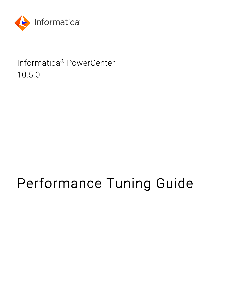

# Informatica® PowerCenter 10.5.0

# Performance Tuning Guide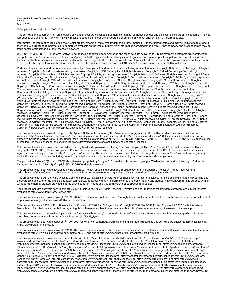Informatica PowerCenter Performance Tuning Guide 10.5.0 March 2021

© Copyright Informatica LLC 2000, 2021

This software and documentation are provided only under a separate license agreement containing restrictions on use and disclosure. No part of this document may be reproduced or transmitted in any form, by any means (electronic, photocopying, recording or otherwise) without prior consent of Informatica LLC.

Informatica, the Informatica logo, and PowerCenter are trademarks or registered trademarks of Informatica LLC in the United States and many jurisdictions throughout the world. A current list of Informatica trademarks is available on the web at https://www.informatica.com/trademarks.html. Other company and product names may be trade names or trademarks of their respective owners.

U.S. GOVERNMENT RIGHTS Programs, software, databases, and related documentation and technical data delivered to U.S. Government customers are "commercial computer software" or "commercial technical data" pursuant to the applicable Federal Acquisition Regulation and agency-specific supplemental regulations. As such, the use, duplication, disclosure, modification, and adaptation is subject to the restrictions and license terms set forth in the applicable Government contract, and, to the extent applicable by the terms of the Government contract, the additional rights set forth in FAR 52.227-19, Commercial Computer Software License.

Portions of this software and/or documentation are subject to copyright held by third parties, including without limitation: Copyright DataDirect Technologies. All rights<br>reserved. Copyright © Sun Microsystems. All rights reserved. Copyright © Aandacht c.v. All rights reserved. Copyright Genivia, Inc. All rights reserved. Copyright Isomorphic Software. All rights reserved. Copyright © Meta Integration Technology, Inc. All rights reserved. Copyright © Intalio. All rights reserved. Copyright © Oracle. All rights reserved. Copyright © Adobe Systems Incorporated. All rights reserved. Copyright © DataArt, Inc. All rights reserved. Copyright © ComponentSource. All rights reserved. Copyright © Microsoft Corporation. All rights reserved. Copyright © Rogue Wave Software, Inc. All rights reserved. Copyright © Teradata Corporation. All rights reserved. Copyright © Yahoo! Inc. All rights reserved. Copyright © Glyph & Cog, LLC. All rights reserved. Copyright © Thinkmap, Inc. All rights reserved. Copyright © Clearpace Software Limited. All rights reserved. Copyright © Information Builders, Inc. All rights reserved. Copyright © OSS Nokalva, Inc. All rights reserved. Copyright Edifecs, Inc. All rights reserved. Copyright Cleo Communications, Inc. All rights reserved. Copyright © International Organization for Standardization 1986. All rights reserved. Copyright © ej-technologies GmbH. All rights reserved. Copyright © Jaspersoft Corporation. All rights reserved. Copyright © International Business Machines Corporation. All rights reserved. Copyright © yWorks GmbH. All rights reserved. Copyright © Lucent Technologies. All rights reserved. Copyright © University of Toronto. All rights reserved. Copyright © Daniel Veillard. All rights reserved. Copyright © Unicode, Inc. Copyright IBM Corp. All rights reserved. Copyright © MicroQuill Software Publishing, Inc. All rights reserved. Copyright © PassMark Software Pty Ltd. All rights reserved. Copyright © LogiXML, Inc. All rights reserved. Copyright © 2003-2010 Lorenzi Davide, All rights reserved. Copyright © Red Hat, Inc. All rights reserved. Copyright © The Board of Trustees of the Leland Stanford Junior University. All rights reserved. Copyright © EMC Corporation. All rights reserved. Copyright © Flexera Software. All rights reserved. Copyright © Jinfonet Software. All rights reserved. Copyright © Apple Inc. All rights reserved. Copyright © Telerik Inc. All rights reserved. Copyright © BEA Systems. All rights reserved. Copyright © PDFlib GmbH. All rights reserved. Copyright © Orientation in Objects GmbH. All rights reserved. Copyright © Tanuki Software, Ltd. All rights reserved. Copyright © Ricebridge. All rights reserved. Copyright © Sencha, Inc. All rights reserved. Copyright © Scalable Systems, Inc. All rights reserved. Copyright © jQWidgets. All rights reserved. Copyright © Tableau Software, Inc. All rights reserved. Copyright© MaxMind, Inc. All Rights Reserved. Copyright © TMate Software s.r.o. All rights reserved. Copyright © MapR Technologies Inc. All rights reserved. Copyright © Amazon Corporate LLC. All rights reserved. Copyright © Highsoft. All rights reserved. Copyright © Python Software Foundation. All rights reserved. Copyright © BeOpen.com. All rights reserved. Copyright © CNRI. All rights reserved.

This product includes software developed by the Apache Software Foundation (http://www.apache.org/), and/or other software which is licensed under various versions of the Apache License (the "License"). You may obtain a copy of these Licenses at http://www.apache.org/licenses/. Unless required by applicable law or agreed to in writing, software distributed under these Licenses is distributed on an "AS IS" BASIS, WITHOUT WARRANTIES OR CONDITIONS OF ANY KIND, either express or implied. See the Licenses for the specific language governing permissions and limitations under the Licenses.

This product includes software which was developed by Mozilla (http://www.mozilla.org/), software copyright The JBoss Group, LLC, all rights reserved; software copyright © 1999-2006 by Bruno Lowagie and Paulo Soares and other software which is licensed under various versions of the GNU Lesser General Public License Agreement, which may be found at http:// www.gnu.org/licenses/lgpl.html. The materials are provided free of charge by Informatica, "as-is", without warranty of any kind, either express or implied, including but not limited to the implied warranties of merchantability and fitness for a particular purpose.

The product includes ACE(TM) and TAO(TM) software copyrighted by Douglas C. Schmidt and his research group at Washington University, University of California, Irvine, and Vanderbilt University, Copyright (<sup> $@$ </sup>) 1993-2006, all rights reserved.

This product includes software developed by the OpenSSL Project for use in the OpenSSL Toolkit (copyright The OpenSSL Project. All Rights Reserved) and redistribution of this software is subject to terms available at http://www.openssl.org and http://www.openssl.org/source/license.html.

This product includes Curl software which is Copyright 1996-2013, Daniel Stenberg, <daniel@haxx.se>. All Rights Reserved. Permissions and limitations regarding this software are subject to terms available at http://curl.haxx.se/docs/copyright.html. Permission to use, copy, modify, and distribute this software for any purpose with or without fee is hereby granted, provided that the above copyright notice and this permission notice appear in all copies.

The product includes software copyright 2001-2005 (©) MetaStuff, Ltd. All Rights Reserved. Permissions and limitations regarding this software are subject to terms available at http://www.dom4j.org/ license.html.

This product includes software copyright © 1996-2006 Per Bothner. All rights reserved. Your right to use such materials is set forth in the license which may be found at http:// www.gnu.org/software/ kawa/Software-License.html.

This product includes OSSP UUID software which is Copyright © 2002 Ralf S. Engelschall, Copyright © 2002 The OSSP Project Copyright © 2002 Cable & Wireless Deutschland. Permissions and limitations regarding this software are subject to terms available at http://www.opensource.org/licenses/mit-license.php.

This product includes software developed by Boost (http://www.boost.org/) or under the Boost software license. Permissions and limitations regarding this software are subject to terms available at http:/ /www.boost.org/LICENSE\_1\_0.txt.

This product includes software copyright © 1997-2007 University of Cambridge. Permissions and limitations regarding this software are subject to terms available at http:// www.pcre.org/license.txt.

This product includes software copyright © 2007 The Eclipse Foundation. All Rights Reserved. Permissions and limitations regarding this software are subject to terms available at http:// www.eclipse.org/org/documents/epl-v10.php and at http://www.eclipse.org/org/documents/edl-v10.php.

This product includes software licensed under the terms at http://www.tcl.tk/software/tcltk/license.html, http://www.bosrup.com/web/overlib/?License, http:// www.stlport.org/doc/ license.html, http://asm.ow2.org/license.html, http://www.cryptix.org/LICENSE.TXT, http://hsqldb.org/web/hsqlLicense.html, http:// httpunit.sourceforge.net/doc/ license.html, http://jung.sourceforge.net/license.txt , http://www.gzip.org/zlib/zlib\_license.html, http://www.openldap.org/software/ release/license.html, http://www.libssh2.org, http://slf4j.org/license.html, http://www.sente.ch/software/OpenSourceLicense.html, http://fusesource.com/downloads/ license-agreements/fuse-message-broker-v-5-3- license-agreement; http://antlr.org/license.html; http://aopalliance.sourceforge.net/; http://www.bouncycastle.org/ licence.html; http://www.jgraph.com/jgraphdownload.html; http://www.jcraft.com/jsch/LICENSE.txt; http://jotm.objectweb.org/bsd\_license.html; . http://www.w3.org/ Consortium/Legal/2002/copyright-software-20021231; http://www.slf4j.org/license.html; http://nanoxml.sourceforge.net/orig/copyright.html; http://www.json.org/ license.html; http://forge.ow2.org/projects/javaservice/, http://www.postgresql.org/about/licence.html, http://www.sqlite.org/copyright.html, http://www.tcl.tk/ software/tcltk/license.html, http://www.jaxen.org/faq.html, http://www.jdom.org/docs/faq.html, http://www.slf4j.org/license.html; http://www.iodbc.org/dataspace/ iodbc/wiki/iODBC/License; http://www.keplerproject.org/md5/license.html; http://www.toedter.com/en/jcalendar/license.html; http://www.edankert.com/bounce/ index.html; http://www.net-snmp.org/about/license.html; http://www.openmdx.org/#FAQ; http://www.php.net/license/3\_01.txt; http://srp.stanford.edu/license.txt; http://www.schneier.com/blowfish.html; http://www.jmock.org/license.html; http://xsom.java.net; http://benalman.com/about/license/; https://github.com/CreateJS/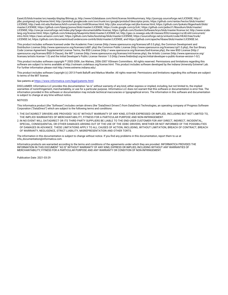EaselJS/blob/master/src/easeljs/display/Bitmap.js; http://www.h2database.com/html/license.html#summary; http://jsoncpp.sourceforge.net/LICENSE; http:// jdbc.postgresql.org/license.html; http://protobuf.googlecode.com/svn/trunk/src/google/protobuf/descriptor.proto; https://github.com/rantav/hector/blob/master/ LICENSE; http://web.mit.edu/Kerberos/krb5-current/doc/mitK5license.html; http://jibx.sourceforge.net/jibx-license.html; https://github.com/lyokato/libgeohash/blob/ master/LICENSE; https://github.com/hjiang/jsonxx/blob/master/LICENSE; https://code.google.com/p/lz4/; https://github.com/jedisct1/libsodium/blob/master/ LICENSE; http://one-jar.sourceforge.net/index.php?page=documents&file=license; https://github.com/EsotericSoftware/kryo/blob/master/license.txt; http://www.scalalang.org/license.html; https://github.com/tinkerpop/blueprints/blob/master/LICENSE.txt; http://gee.cs.oswego.edu/dl/classes/EDU/oswego/cs/dl/util/concurrent/ intro.html; https://aws.amazon.com/asl/; https://github.com/twbs/bootstrap/blob/master/LICENSE; https://sourceforge.net/p/xmlunit/code/HEAD/tree/trunk/ LICENSE.txt; https://github.com/documentcloud/underscore-contrib/blob/master/LICENSE, and https://github.com/apache/hbase/blob/master/LICENSE.txt.

This product includes software licensed under the Academic Free License (http://www.opensource.org/licenses/afl-.0.php), the Common Development and Distribution License (http://www.opensource.org/licenses/cddl1.php) the Common Public License (http://www.opensource.org/licenses/cpl1.0.php), the Sun Binary Code License Agreement Supplemental License Terms, the BSD License (http:// www.opensource.org/licenses/bsd-license.php), the new BSD License (http:// opensource.org/licenses/BSD-3-Clause), the MIT License (http://www.opensource.org/licenses/mit-license.php), the Artistic License (http://www.opensource.org/ licenses/artistic-license-1.0) and the Initial Developer's Public License Version 1.0 (http://www.firebirdsql.org/en/initial-developer-s-public-license-version-1-0/).

This product includes software copyright © 2003-2006 Joe Walnes, 2006-2007 XStream Committers. All rights reserved. Permissions and limitations regarding this software are subject to terms available at http://xstream.codehaus.org/license.html. This product includes software developed by the Indiana University Extreme! Lab. For further information please visit http://www.extreme.indiana.edu/.

This product includes software Copyright (c) 2013 Frank Balluffi and Markus Moeller. All rights reserved. Permissions and limitations regarding this software are subject to terms of the MIT license.

#### See patents at<https://www.informatica.com/legal/patents.html>.

DISCLAIMER: Informatica LLC provides this documentation "as is" without warranty of any kind, either express or implied, including, but not limited to, the implied warranties of noninfringement, merchantability, or use for a particular purpose. Informatica LLC does not warrant that this software or documentation is error free. The information provided in this software or documentation may include technical inaccuracies or typographical errors. The information in this software and documentation is subject to change at any time without notice.

#### **NOTICES**

This Informatica product (the "Software") includes certain drivers (the "DataDirect Drivers") from DataDirect Technologies, an operating company of Progress Software Corporation ("DataDirect") which are subject to the following terms and conditions:

- 1. THE DATADIRECT DRIVERS ARE PROVIDED "AS IS" WITHOUT WARRANTY OF ANY KIND, EITHER EXPRESSED OR IMPLIED, INCLUDING BUT NOT LIMITED TO, THE IMPLIED WARRANTIES OF MERCHANTABILITY, FITNESS FOR A PARTICULAR PURPOSE AND NON-INFRINGEMENT.
- 2. IN NO EVENT WILL DATADIRECT OR ITS THIRD PARTY SUPPLIERS BE LIABLE TO THE END-USER CUSTOMER FOR ANY DIRECT, INDIRECT, INCIDENTAL, SPECIAL, CONSEQUENTIAL OR OTHER DAMAGES ARISING OUT OF THE USE OF THE ODBC DRIVERS, WHETHER OR NOT INFORMED OF THE POSSIBILITIES OF DAMAGES IN ADVANCE. THESE LIMITATIONS APPLY TO ALL CAUSES OF ACTION, INCLUDING, WITHOUT LIMITATION, BREACH OF CONTRACT, BREACH OF WARRANTY, NEGLIGENCE, STRICT LIABILITY, MISREPRESENTATION AND OTHER TORTS.

The information in this documentation is subject to change without notice. If you find any problems in this documentation, report them to us at infa\_documentation@informatica.com.

Informatica products are warranted according to the terms and conditions of the agreements under which they are provided. INFORMATICA PROVIDES THE INFORMATION IN THIS DOCUMENT "AS IS" WITHOUT WARRANTY OF ANY KIND, EXPRESS OR IMPLIED, INCLUDING WITHOUT ANY WARRANTIES OF MERCHANTABILITY, FITNESS FOR A PARTICULAR PURPOSE AND ANY WARRANTY OR CONDITION OF NON-INFRINGEMENT.

Publication Date: 2021-03-29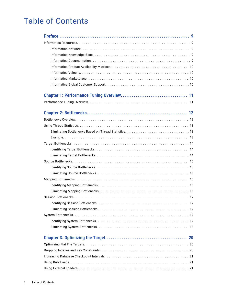# Table of Contents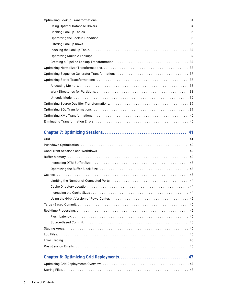| 41 |  |  |  |
|----|--|--|--|
|    |  |  |  |
| 42 |  |  |  |
|    |  |  |  |
|    |  |  |  |
|    |  |  |  |
|    |  |  |  |
|    |  |  |  |
|    |  |  |  |
|    |  |  |  |
|    |  |  |  |
|    |  |  |  |
|    |  |  |  |
|    |  |  |  |
|    |  |  |  |
|    |  |  |  |
|    |  |  |  |
|    |  |  |  |
|    |  |  |  |
|    |  |  |  |
|    |  |  |  |
|    |  |  |  |
|    |  |  |  |
|    |  |  |  |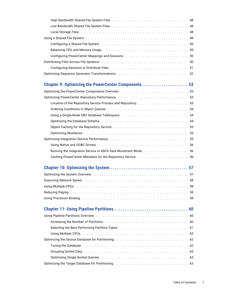| Chapter 9: Optimizing the PowerCenter Components 53 |
|-----------------------------------------------------|
|                                                     |
|                                                     |
|                                                     |
|                                                     |
|                                                     |
|                                                     |
|                                                     |
|                                                     |
|                                                     |
|                                                     |
|                                                     |
|                                                     |
|                                                     |
|                                                     |
|                                                     |
|                                                     |
|                                                     |
|                                                     |
|                                                     |
|                                                     |
|                                                     |
|                                                     |
|                                                     |
|                                                     |
|                                                     |
|                                                     |
|                                                     |
|                                                     |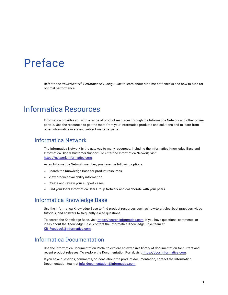# <span id="page-8-0"></span>Preface

Refer to the *PowerCenter® Performance Tuning Guide* to learn about run-time bottlenecks and how to tune for optimal performance.

# Informatica Resources

Informatica provides you with a range of product resources through the Informatica Network and other online portals. Use the resources to get the most from your Informatica products and solutions and to learn from other Informatica users and subject matter experts.

#### Informatica Network

The Informatica Network is the gateway to many resources, including the Informatica Knowledge Base and Informatica Global Customer Support. To enter the Informatica Network, visit [https://network.informatica.com.](https://network.informatica.com)

As an Informatica Network member, you have the following options:

- **•** Search the Knowledge Base for product resources.
- **•** View product availability information.
- **•** Create and review your support cases.
- **•** Find your local Informatica User Group Network and collaborate with your peers.

### Informatica Knowledge Base

Use the Informatica Knowledge Base to find product resources such as how-to articles, best practices, video tutorials, and answers to frequently asked questions.

To search the Knowledge Base, visit [https://search.informatica.com.](http://search.informatica.com) If you have questions, comments, or ideas about the Knowledge Base, contact the Informatica Knowledge Base team at [KB\\_Feedback@informatica.com.](mailto:KB_Feedback@informatica.com)

#### Informatica Documentation

Use the Informatica Documentation Portal to explore an extensive library of documentation for current and recent product releases. To explore the Documentation Portal, visit <https://docs.informatica.com>.

If you have questions, comments, or ideas about the product documentation, contact the Informatica Documentation team at [infa\\_documentation@informatica.com.](mailto:infa_documentation@informatica.com)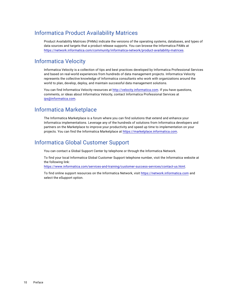### <span id="page-9-0"></span>Informatica Product Availability Matrices

Product Availability Matrices (PAMs) indicate the versions of the operating systems, databases, and types of data sources and targets that a product release supports. You can browse the Informatica PAMs at [https://network.informatica.com/community/informatica-network/product-availability-matrices.](https://network.informatica.com/community/informatica-network/product-availability-matrices)

### Informatica Velocity

Informatica Velocity is a collection of tips and best practices developed by Informatica Professional Services and based on real-world experiences from hundreds of data management projects. Informatica Velocity represents the collective knowledge of Informatica consultants who work with organizations around the world to plan, develop, deploy, and maintain successful data management solutions.

You can find Informatica Velocity resources at<http://velocity.informatica.com>. If you have questions, comments, or ideas about Informatica Velocity, contact Informatica Professional Services at [ips@informatica.com](mailto:ips@informatica.com).

#### Informatica Marketplace

The Informatica Marketplace is a forum where you can find solutions that extend and enhance your Informatica implementations. Leverage any of the hundreds of solutions from Informatica developers and partners on the Marketplace to improve your productivity and speed up time to implementation on your projects. You can find the Informatica Marketplace at [https://marketplace.informatica.com.](https://marketplace.informatica.com)

### Informatica Global Customer Support

You can contact a Global Support Center by telephone or through the Informatica Network.

To find your local Informatica Global Customer Support telephone number, visit the Informatica website at the following link:

<https://www.informatica.com/services-and-training/customer-success-services/contact-us.html>.

To find online support resources on the Informatica Network, visit [https://network.informatica.com](http://network.informatica.com) and select the eSupport option.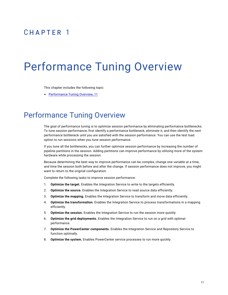# <span id="page-10-0"></span> $CHAPTER$  1

# Performance Tuning Overview

This chapter includes the following topic:

**•** Performance Tuning Overview, 11

## Performance Tuning Overview

The goal of performance tuning is to optimize session performance by eliminating performance bottlenecks. To tune session performance, first identify a performance bottleneck, eliminate it, and then identify the next performance bottleneck until you are satisfied with the session performance. You can use the test load option to run sessions when you tune session performance.

If you tune all the bottlenecks, you can further optimize session performance by increasing the number of pipeline partitions in the session. Adding partitions can improve performance by utilizing more of the system hardware while processing the session.

Because determining the best way to improve performance can be complex, change one variable at a time, and time the session both before and after the change. If session performance does not improve, you might want to return to the original configuration.

Complete the following tasks to improve session performance:

- 1. **Optimize the target.** Enables the Integration Service to write to the targets efficiently.
- 2. **Optimize the source.** Enables the Integration Service to read source data efficiently.
- 3. **Optimize the mapping.** Enables the Integration Service to transform and move data efficiently.
- 4. **Optimize the transformation.** Enables the Integration Service to process transformations in a mapping efficiently.
- 5. **Optimize the session.** Enables the Integration Service to run the session more quickly.
- 6. **Optimize the grid deployments.** Enables the Integration Service to run on a grid with optimal performance.
- 7. **Optimize the PowerCenter components.** Enables the Integration Service and Repository Service to function optimally.
- 8. **Optimize the system.** Enables PowerCenter service processes to run more quickly.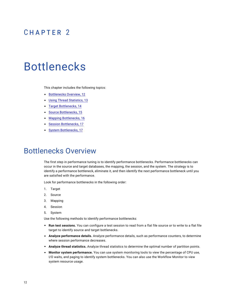# <span id="page-11-0"></span> $CHAPTER$  2

# Bottlenecks

This chapter includes the following topics:

- **•** Bottlenecks Overview, 12
- **•** Using Thread [Statistics,](#page-12-0) 13
- **•** Target [Bottlenecks,](#page-13-0) 14
- **•** Source [Bottlenecks,](#page-14-0) 15
- **•** Mapping [Bottlenecks,](#page-15-0) 16
- **•** Session [Bottlenecks,](#page-16-0) 17
- **•** System [Bottlenecks,](#page-16-0) 17

### Bottlenecks Overview

The first step in performance tuning is to identify performance bottlenecks. Performance bottlenecks can occur in the source and target databases, the mapping, the session, and the system. The strategy is to identify a performance bottleneck, eliminate it, and then identify the next performance bottleneck until you are satisfied with the performance.

Look for performance bottlenecks in the following order:

- 1. Target
- 2. Source
- 3. Mapping
- 4. Session
- 5. System

Use the following methods to identify performance bottlenecks:

- **• Run test sessions.** You can configure a test session to read from a flat file source or to write to a flat file target to identify source and target bottlenecks.
- **• Analyze performance details.** Analyze performance details, such as performance counters, to determine where session performance decreases.
- **• Analyze thread statistics.** Analyze thread statistics to determine the optimal number of partition points.
- **• Monitor system performance.** You can use system monitoring tools to view the percentage of CPU use, I/O waits, and paging to identify system bottlenecks. You can also use the Workflow Monitor to view system resource usage.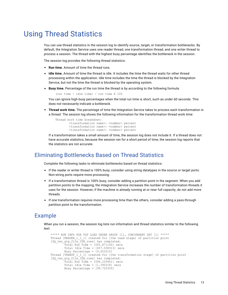# <span id="page-12-0"></span>Using Thread Statistics

You can use thread statistics in the session log to identify source, target, or transformation bottlenecks. By default, the Integration Service uses one reader thread, one transformation thread, and one writer thread to process a session. The thread with the highest busy percentage identifies the bottleneck in the session.

The session log provides the following thread statistics:

- **• Run time.** Amount of time the thread runs.
- **• Idle time.** Amount of time the thread is idle. It includes the time the thread waits for other thread processing within the application. Idle time includes the time the thread is blocked by the Integration Service, but not the time the thread is blocked by the operating system.
- **• Busy time.** Percentage of the run time the thread is by according to the following formula:

(run time - idle time) / run time X 100

You can ignore high busy percentages when the total run time is short, such as under 60 seconds. This does not necessarily indicate a bottleneck.

**• Thread work time.** The percentage of time the Integration Service takes to process each transformation in a thread. The session log shows the following information for the transformation thread work time:

```
Thread work time breakdown:
        <transformation name>: <number> percent
        <transformation name>: <number> percent
        <transformation name>: <number> percent
```
If a transformation takes a small amount of time, the session log does not include it. If a thread does not have accurate statistics, because the session ran for a short period of time, the session log reports that the statistics are not accurate.

#### Eliminating Bottlenecks Based on Thread Statistics

Complete the following tasks to eliminate bottlenecks based on thread statistics:

- **•** If the reader or writer thread is 100% busy, consider using string datatypes in the source or target ports. Non-string ports require more processing.
- **•** If a transformation thread is 100% busy, consider adding a partition point in the segment. When you add partition points to the mapping, the Integration Service increases the number of transformation threads it uses for the session. However, if the machine is already running at or near full capacity, do not add more threads.
- **•** If one transformation requires more processing time than the others, consider adding a pass-through partition point to the transformation.

#### Example

When you run a session, the session log lists run information and thread statistics similar to the following text:

```
***** RUN INFO FOR TGT LOAD ORDER GROUP [1], CONCURRENT SET [1] *****
Thread [READER 1 1 1] created for [the read stage] of partition point
[SQ_two_gig_file_32B_rows] has completed.
       Total Run Time = [505.871140] secs
        Total Idle Time = [457.038313] secs
        Busy Percentage = [9.653215]
Thread [TRANSF 1 1 1] created for [the transformation stage] of partition point
[SQ_two_gig_file_32B_rows] has completed.
        Total Run Time = [506.230461] secs
       Total Idle Time = [1.390318] secs
       Busy Percentage = [99.725359]
```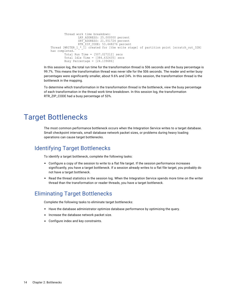```
Thread work time breakdown:
                LKP ADDRESS: 25.000000 percent
                SRT_ADDRESS: 21.551724 percent
                RTR<sup>_</sup>ZIP CODE: 53.448276 percent
Thread [WRITER_1_*_I] created for [the write stage] of partition point [scratch_out_32B]
has completed.
        Total Run Time = [507.027212] secs
        Total Idle Time = [384.632435] secs
        Busy Percentage = [24.139686]
```
In this session log, the total run time for the transformation thread is 506 seconds and the busy percentage is 99.7%. This means the transformation thread was never idle for the 506 seconds. The reader and writer busy percentages were significantly smaller, about 9.6% and 24%. In this session, the transformation thread is the bottleneck in the mapping.

To determine which transformation in the transformation thread is the bottleneck, view the busy percentage of each transformation in the thread work time breakdown. In this session log, the transformation RTR\_ZIP\_CODE had a busy percentage of 53%.

## Target Bottlenecks

The most common performance bottleneck occurs when the Integration Service writes to a target database. Small checkpoint intervals, small database network packet sizes, or problems during heavy loading operations can cause target bottlenecks.

### Identifying Target Bottlenecks

To identify a target bottleneck, complete the following tasks:

- **•** Configure a copy of the session to write to a flat file target. If the session performance increases significantly, you have a target bottleneck. If a session already writes to a flat file target, you probably do not have a target bottleneck.
- **•** Read the thread statistics in the session log. When the Integration Service spends more time on the writer thread than the transformation or reader threads, you have a target bottleneck.

#### Eliminating Target Bottlenecks

Complete the following tasks to eliminate target bottlenecks:

- **•** Have the database administrator optimize database performance by optimizing the query.
- **•** Increase the database network packet size.
- **•** Configure index and key constraints.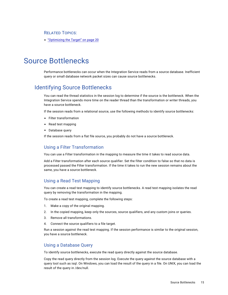#### <span id="page-14-0"></span>RELATED TOPICS:

**•** ["Optimizing](#page-19-0) the Target" on page 20

# Source Bottlenecks

Performance bottlenecks can occur when the Integration Service reads from a source database. Inefficient query or small database network packet sizes can cause source bottlenecks.

### Identifying Source Bottlenecks

You can read the thread statistics in the session log to determine if the source is the bottleneck. When the Integration Service spends more time on the reader thread than the transformation or writer threads, you have a source bottleneck.

If the session reads from a relational source, use the following methods to identify source bottlenecks:

- **•** Filter transformation
- **•** Read test mapping
- **•** Database query

If the session reads from a flat file source, you probably do not have a source bottleneck.

#### Using a Filter Transformation

You can use a Filter transformation in the mapping to measure the time it takes to read source data.

Add a Filter transformation after each source qualifier. Set the filter condition to false so that no data is processed passed the Filter transformation. If the time it takes to run the new session remains about the same, you have a source bottleneck.

#### Using a Read Test Mapping

You can create a read test mapping to identify source bottlenecks. A read test mapping isolates the read query by removing the transformation in the mapping.

To create a read test mapping, complete the following steps:

- 1. Make a copy of the original mapping.
- 2. In the copied mapping, keep only the sources, source qualifiers, and any custom joins or queries.
- 3. Remove all transformations.
- 4. Connect the source qualifiers to a file target.

Run a session against the read test mapping. If the session performance is similar to the original session, you have a source bottleneck.

#### Using a Database Query

To identify source bottlenecks, execute the read query directly against the source database.

Copy the read query directly from the session log. Execute the query against the source database with a query tool such as isql. On Windows, you can load the result of the query in a file. On UNIX, you can load the result of the query in /dev/null.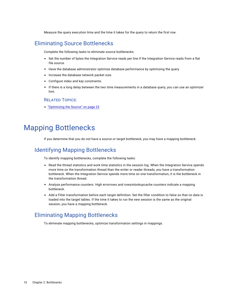Measure the query execution time and the time it takes for the query to return the first row.

### <span id="page-15-0"></span>Eliminating Source Bottlenecks

Complete the following tasks to eliminate source bottlenecks:

- **•** Set the number of bytes the Integration Service reads per line if the Integration Service reads from a flat file source.
- **•** Have the database administrator optimize database performance by optimizing the query.
- **•** Increase the database network packet size.
- **•** Configure index and key constraints.
- **•** If there is a long delay between the two time measurements in a database query, you can use an optimizer hint.

#### RELATED TOPICS:

**•** ["Optimizing](#page-22-0) the Source" on page 23

# Mapping Bottlenecks

If you determine that you do not have a source or target bottleneck, you may have a mapping bottleneck.

#### Identifying Mapping Bottlenecks

To identify mapping bottlenecks, complete the following tasks:

- **•** Read the thread statistics and work time statistics in the session log. When the Integration Service spends more time on the transformation thread than the writer or reader threads, you have a transformation bottleneck. When the Integration Service spends more time on one transformation, it is the bottleneck in the transformation thread.
- **•** Analyze performance counters. High errorrows and rowsinlookupcache counters indicate a mapping bottleneck.
- **•** Add a Filter transformation before each target definition. Set the filter condition to false so that no data is loaded into the target tables. If the time it takes to run the new session is the same as the original session, you have a mapping bottleneck.

#### Eliminating Mapping Bottlenecks

To eliminate mapping bottlenecks, optimize transformation settings in mappings.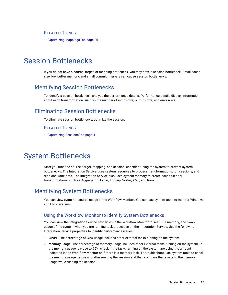<span id="page-16-0"></span>RELATED TOPICS:

**•** ["Optimizing](#page-25-0) Mappings" on page 26

# Session Bottlenecks

If you do not have a source, target, or mapping bottleneck, you may have a session bottleneck. Small cache size, low buffer memory, and small commit intervals can cause session bottlenecks.

### Identifying Session Bottlenecks

To identify a session bottleneck, analyze the performance details. Performance details display information about each transformation, such as the number of input rows, output rows, and error rows.

### Eliminating Session Bottlenecks

To eliminate session bottlenecks, optimize the session.

#### RELATED TOPICS:

**•** ["Optimizing](#page-40-0) Sessions" on page 41

# System Bottlenecks

After you tune the source, target, mapping, and session, consider tuning the system to prevent system bottlenecks. The Integration Service uses system resources to process transformations, run sessions, and read and write data. The Integration Service also uses system memory to create cache files for transformations, such as Aggregator, Joiner, Lookup, Sorter, XML, and Rank.

#### Identifying System Bottlenecks

You can view system resource usage in the Workflow Monitor. You can use system tools to monitor Windows and UNIX systems.

#### Using the Workflow Monitor to Identify System Bottlenecks

You can view the Integration Service properties in the Workflow Monitor to see CPU, memory, and swap usage of the system when you are running task processes on the Integration Service. Use the following Integration Service properties to identify performance issues:

- **• CPU%.** The percentage of CPU usage includes other external tasks running on the system.
- **• Memory usage.** The percentage of memory usage includes other external tasks running on the system. If the memory usage is close to 95%, check if the tasks running on the system are using the amount indicated in the Workflow Monitor or if there is a memory leak. To troubleshoot, use system tools to check the memory usage before and after running the session and then compare the results to the memory usage while running the session.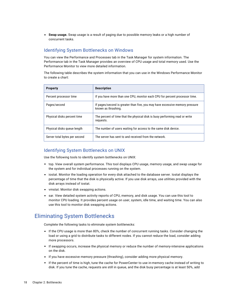<span id="page-17-0"></span>**• Swap usage.** Swap usage is a result of paging due to possible memory leaks or a high number of concurrent tasks.

#### Identifying System Bottlenecks on Windows

You can view the Performance and Processes tab in the Task Manager for system information. The Performance tab in the Task Manager provides an overview of CPU usage and total memory used. Use the Performance Monitor to view more detailed information.

The following table describes the system information that you can use in the Windows Performance Monitor to create a chart:

| <b>Property</b>               | <b>Description</b>                                                                                  |
|-------------------------------|-----------------------------------------------------------------------------------------------------|
| Percent processor time        | If you have more than one CPU, monitor each CPU for percent processor time.                         |
| Pages/second                  | If pages/second is greater than five, you may have excessive memory pressure<br>known as thrashing. |
| Physical disks percent time   | The percent of time that the physical disk is busy performing read or write<br>requests.            |
| Physical disks queue length   | The number of users waiting for access to the same disk device.                                     |
| Server total bytes per second | The server has sent to and received from the network.                                               |

#### Identifying System Bottlenecks on UNIX

Use the following tools to identify system bottlenecks on UNIX:

- **•** top. View overall system performance. This tool displays CPU usage, memory usage, and swap usage for the system and for individual processes running on the system.
- **•** iostat. Monitor the loading operation for every disk attached to the database server. Iostat displays the percentage of time that the disk is physically active. If you use disk arrays, use utilities provided with the disk arrays instead of iostat.
- **•** vmstat. Monitor disk swapping actions.
- **•** sar. View detailed system activity reports of CPU, memory, and disk usage. You can use this tool to monitor CPU loading. It provides percent usage on user, system, idle time, and waiting time. You can also use this tool to monitor disk swapping actions.

### Eliminating System Bottlenecks

Complete the following tasks to eliminate system bottlenecks:

- **•** If the CPU usage is more than 80%, check the number of concurrent running tasks. Consider changing the load or using a grid to distribute tasks to different nodes. If you cannot reduce the load, consider adding more processors.
- **•** If swapping occurs, increase the physical memory or reduce the number of memory-intensive applications on the disk.
- **•** If you have excessive memory pressure (thrashing), consider adding more physical memory.
- **•** If the percent of time is high, tune the cache for PowerCenter to use in-memory cache instead of writing to disk. If you tune the cache, requests are still in queue, and the disk busy percentage is at least 50%, add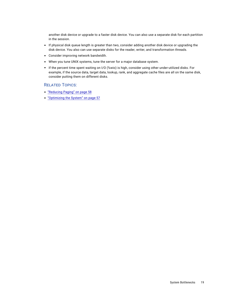another disk device or upgrade to a faster disk device. You can also use a separate disk for each partition in the session.

- **•** If physical disk queue length is greater than two, consider adding another disk device or upgrading the disk device. You also can use separate disks for the reader, writer, and transformation threads.
- **•** Consider improving network bandwidth.
- **•** When you tune UNIX systems, tune the server for a major database system.
- **•** If the percent time spent waiting on I/O (%wio) is high, consider using other under-utilized disks. For example, if the source data, target data, lookup, rank, and aggregate cache files are all on the same disk, consider putting them on different disks.

#### RELATED TOPICS:

- **•** ["Reducing](#page-57-0) Paging" on page 58
- **•** ["Optimizing](#page-56-0) the System" on page 57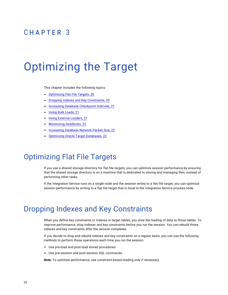# <span id="page-19-0"></span> $CHAPTER$  3

# Optimizing the Target

This chapter includes the following topics:

- **•** Optimizing Flat File Targets, 20
- **•** Dropping Indexes and Key Constraints, 20
- **•** Increasing Database [Checkpoint](#page-20-0) Intervals, 21
- **•** Using Bulk [Loads,](#page-20-0) 21
- **•** Using External [Loaders,](#page-20-0) 21
- **•** [Minimizing](#page-21-0) Deadlocks, 22
- **•** [Increasing](#page-21-0) Database Network Packet Size, 22
- **•** Optimizing Oracle Target [Databases,](#page-21-0) 22

## Optimizing Flat File Targets

If you use a shared storage directory for flat file targets, you can optimize session performance by ensuring that the shared storage directory is on a machine that is dedicated to storing and managing files, instead of performing other tasks.

If the Integration Service runs on a single node and the session writes to a flat file target, you can optimize session performance by writing to a flat file target that is local to the Integration Service process node.

## Dropping Indexes and Key Constraints

When you define key constraints or indexes in target tables, you slow the loading of data to those tables. To improve performance, drop indexes and key constraints before you run the session. You can rebuild those indexes and key constraints after the session completes.

If you decide to drop and rebuild indexes and key constraints on a regular basis, you can use the following methods to perform these operations each time you run the session:

- **•** Use pre-load and post-load stored procedures.
- **•** Use pre-session and post-session SQL commands.

**Note:** To optimize performance, use constraint-based loading only if necessary.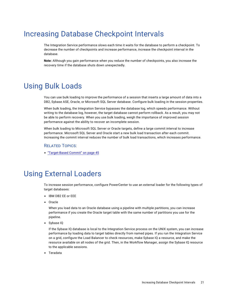# <span id="page-20-0"></span>Increasing Database Checkpoint Intervals

The Integration Service performance slows each time it waits for the database to perform a checkpoint. To decrease the number of checkpoints and increase performance, increase the checkpoint interval in the database.

**Note:** Although you gain performance when you reduce the number of checkpoints, you also increase the recovery time if the database shuts down unexpectedly.

# Using Bulk Loads

You can use bulk loading to improve the performance of a session that inserts a large amount of data into a DB2, Sybase ASE, Oracle, or Microsoft SQL Server database. Configure bulk loading in the session properties.

When bulk loading, the Integration Service bypasses the database log, which speeds performance. Without writing to the database log, however, the target database cannot perform rollback. As a result, you may not be able to perform recovery. When you use bulk loading, weigh the importance of improved session performance against the ability to recover an incomplete session.

When bulk loading to Microsoft SQL Server or Oracle targets, define a large commit interval to increase performance. Microsoft SQL Server and Oracle start a new bulk load transaction after each commit. Increasing the commit interval reduces the number of bulk load transactions, which increases performance.

#### RELATED TOPICS:

**•** ["Target-Based](#page-44-0) Commit" on page 45

# Using External Loaders

To increase session performance, configure PowerCenter to use an external loader for the following types of target databases:

- **•** IBM DB2 EE or EEE
- **•** Oracle

When you load data to an Oracle database using a pipeline with multiple partitions, you can increase performance if you create the Oracle target table with the same number of partitions you use for the pipeline.

**•** Sybase IQ

If the Sybase IQ database is local to the Integration Service process on the UNIX system, you can increase performance by loading data to target tables directly from named pipes. If you run the Integration Service on a grid, configure the Load Balancer to check resources, make Sybase IQ a resource, and make the resource available on all nodes of the grid. Then, in the Workflow Manager, assign the Sybase IQ resource to the applicable sessions.

**•** Teradata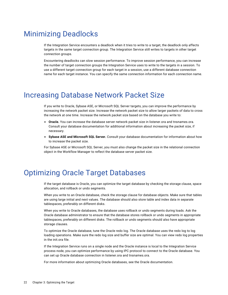# <span id="page-21-0"></span>Minimizing Deadlocks

If the Integration Service encounters a deadlock when it tries to write to a target, the deadlock only affects targets in the same target connection group. The Integration Service still writes to targets in other target connection groups.

Encountering deadlocks can slow session performance. To improve session performance, you can increase the number of target connection groups the Integration Service uses to write to the targets in a session. To use a different target connection group for each target in a session, use a different database connection name for each target instance. You can specify the same connection information for each connection name.

# Increasing Database Network Packet Size

If you write to Oracle, Sybase ASE, or Microsoft SQL Server targets, you can improve the performance by increasing the network packet size. Increase the network packet size to allow larger packets of data to cross the network at one time. Increase the network packet size based on the database you write to:

- **• Oracle.** You can increase the database server network packet size in listener.ora and tnsnames.ora. Consult your database documentation for additional information about increasing the packet size, if necessary.
- **• Sybase ASE and Microsoft SQL Server.** Consult your database documentation for information about how to increase the packet size.

For Sybase ASE or Microsoft SQL Server, you must also change the packet size in the relational connection object in the Workflow Manager to reflect the database server packet size.

# Optimizing Oracle Target Databases

If the target database is Oracle, you can optimize the target database by checking the storage clause, space allocation, and rollback or undo segments.

When you write to an Oracle database, check the storage clause for database objects. Make sure that tables are using large initial and next values. The database should also store table and index data in separate tablespaces, preferably on different disks.

When you write to Oracle databases, the database uses rollback or undo segments during loads. Ask the Oracle database administrator to ensure that the database stores rollback or undo segments in appropriate tablespaces, preferably on different disks. The rollback or undo segments should also have appropriate storage clauses.

To optimize the Oracle database, tune the Oracle redo log. The Oracle database uses the redo log to log loading operations. Make sure the redo log size and buffer size are optimal. You can view redo log properties in the init.ora file.

If the Integration Service runs on a single node and the Oracle instance is local to the Integration Service process node, you can optimize performance by using IPC protocol to connect to the Oracle database. You can set up Oracle database connection in listener.ora and tnsnames.ora.

For more information about optimizing Oracle databases, see the Oracle documentation.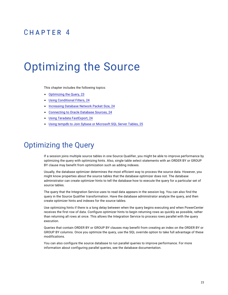# <span id="page-22-0"></span> $CHAPTER$  4

# Optimizing the Source

This chapter includes the following topics:

- **•** Optimizing the Query, 23
- **•** Using [Conditional](#page-23-0) Filters, 24
- **•** [Increasing](#page-23-0) Database Network Packet Size, 24
- **•** [Connecting](#page-23-0) to Oracle Database Sources, 24
- **•** Using Teradata [FastExport,](#page-23-0) 24
- **•** Using tempdb to Join Sybase or [Microsoft](#page-24-0) SQL Server Tables, 25

# Optimizing the Query

If a session joins multiple source tables in one Source Qualifier, you might be able to improve performance by optimizing the query with optimizing hints. Also, single table select statements with an ORDER BY or GROUP BY clause may benefit from optimization such as adding indexes.

Usually, the database optimizer determines the most efficient way to process the source data. However, you might know properties about the source tables that the database optimizer does not. The database administrator can create optimizer hints to tell the database how to execute the query for a particular set of source tables.

The query that the Integration Service uses to read data appears in the session log. You can also find the query in the Source Qualifier transformation. Have the database administrator analyze the query, and then create optimizer hints and indexes for the source tables.

Use optimizing hints if there is a long delay between when the query begins executing and when PowerCenter receives the first row of data. Configure optimizer hints to begin returning rows as quickly as possible, rather than returning all rows at once. This allows the Integration Service to process rows parallel with the query execution.

Queries that contain ORDER BY or GROUP BY clauses may benefit from creating an index on the ORDER BY or GROUP BY columns. Once you optimize the query, use the SQL override option to take full advantage of these modifications.

You can also configure the source database to run parallel queries to improve performance. For more information about configuring parallel queries, see the database documentation.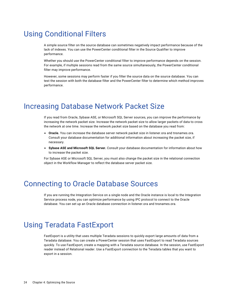# <span id="page-23-0"></span>Using Conditional Filters

A simple source filter on the source database can sometimes negatively impact performance because of the lack of indexes. You can use the PowerCenter conditional filter in the Source Qualifier to improve performance.

Whether you should use the PowerCenter conditional filter to improve performance depends on the session. For example, if multiple sessions read from the same source simultaneously, the PowerCenter conditional filter may improve performance.

However, some sessions may perform faster if you filter the source data on the source database. You can test the session with both the database filter and the PowerCenter filter to determine which method improves performance.

## Increasing Database Network Packet Size

If you read from Oracle, Sybase ASE, or Microsoft SQL Server sources, you can improve the performance by increasing the network packet size. Increase the network packet size to allow larger packets of data to cross the network at one time. Increase the network packet size based on the database you read from:

- **• Oracle.** You can increase the database server network packet size in listener.ora and tnsnames.ora. Consult your database documentation for additional information about increasing the packet size, if necessary.
- **• Sybase ASE and Microsoft SQL Server.** Consult your database documentation for information about how to increase the packet size.

For Sybase ASE or Microsoft SQL Server, you must also change the packet size in the relational connection object in the Workflow Manager to reflect the database server packet size.

# Connecting to Oracle Database Sources

If you are running the Integration Service on a single node and the Oracle instance is local to the Integration Service process node, you can optimize performance by using IPC protocol to connect to the Oracle database. You can set up an Oracle database connection in listener.ora and tnsnames.ora.

# Using Teradata FastExport

FastExport is a utility that uses multiple Teradata sessions to quickly export large amounts of data from a Teradata database. You can create a PowerCenter session that uses FastExport to read Teradata sources quickly. To use FastExport, create a mapping with a Teradata source database. In the session, use FastExport reader instead of Relational reader. Use a FastExport connection to the Teradata tables that you want to export in a session.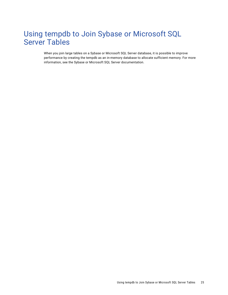# <span id="page-24-0"></span>Using tempdb to Join Sybase or Microsoft SQL Server Tables

When you join large tables on a Sybase or Microsoft SQL Server database, it is possible to improve performance by creating the tempdb as an in-memory database to allocate sufficient memory. For more information, see the Sybase or Microsoft SQL Server documentation.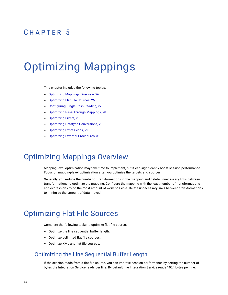# <span id="page-25-0"></span>CHAPTER 5

# Optimizing Mappings

This chapter includes the following topics:

- **•** Optimizing Mappings Overview, 26
- **•** Optimizing Flat File Sources, 26
- **•** Configuring [Single-Pass](#page-26-0) Reading, 27
- **•** Optimizing [Pass-Through](#page-27-0) Mappings, 28
- **•** [Optimizing](#page-27-0) Filters, 28
- **•** Optimizing Datatype [Conversions,](#page-27-0) 28
- **•** Optimizing [Expressions,](#page-28-0) 29
- **•** Optimizing External [Procedures,](#page-30-0) 31

# Optimizing Mappings Overview

Mapping-level optimization may take time to implement, but it can significantly boost session performance. Focus on mapping-level optimization after you optimize the targets and sources.

Generally, you reduce the number of transformations in the mapping and delete unnecessary links between transformations to optimize the mapping. Configure the mapping with the least number of transformations and expressions to do the most amount of work possible. Delete unnecessary links between transformations to minimize the amount of data moved.

## Optimizing Flat File Sources

Complete the following tasks to optimize flat file sources:

- **•** Optimize the line sequential buffer length.
- **•** Optimize delimited flat file sources.
- **•** Optimize XML and flat file sources.

#### Optimizing the Line Sequential Buffer Length

If the session reads from a flat file source, you can improve session performance by setting the number of bytes the Integration Service reads per line. By default, the Integration Service reads 1024 bytes per line. If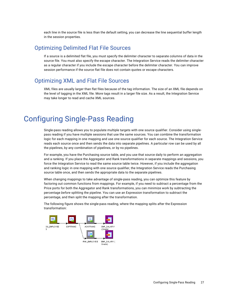<span id="page-26-0"></span>each line in the source file is less than the default setting, you can decrease the line sequential buffer length in the session properties.

#### Optimizing Delimited Flat File Sources

If a source is a delimited flat file, you must specify the delimiter character to separate columns of data in the source file. You must also specify the escape character. The Integration Service reads the delimiter character as a regular character if you include the escape character before the delimiter character. You can improve session performance if the source flat file does not contain quotes or escape characters.

#### Optimizing XML and Flat File Sources

XML files are usually larger than flat files because of the tag information. The size of an XML file depends on the level of tagging in the XML file. More tags result in a larger file size. As a result, the Integration Service may take longer to read and cache XML sources.

# Configuring Single-Pass Reading

Single-pass reading allows you to populate multiple targets with one source qualifier. Consider using singlepass reading if you have multiple sessions that use the same sources. You can combine the transformation logic for each mapping in one mapping and use one source qualifier for each source. The Integration Service reads each source once and then sends the data into separate pipelines. A particular row can be used by all the pipelines, by any combination of pipelines, or by no pipelines.

For example, you have the Purchasing source table, and you use that source daily to perform an aggregation and a ranking. If you place the Aggregator and Rank transformations in separate mappings and sessions, you force the Integration Service to read the same source table twice. However, if you include the aggregation and ranking logic in one mapping with one source qualifier, the Integration Service reads the Purchasing source table once, and then sends the appropriate data to the separate pipelines.

When changing mappings to take advantage of single-pass reading, you can optimize this feature by factoring out common functions from mappings. For example, if you need to subtract a percentage from the Price ports for both the Aggregator and Rank transformations, you can minimize work by subtracting the percentage *before* splitting the pipeline. You can use an Expression transformation to subtract the percentage, and then split the mapping after the transformation.

The following figure shows the single-pass reading, where the mapping splits after the Expression transformation:

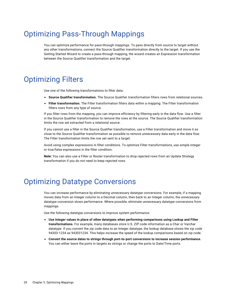# <span id="page-27-0"></span>Optimizing Pass-Through Mappings

You can optimize performance for pass-through mappings. To pass directly from source to target without any other transformations, connect the Source Qualifier transformation directly to the target. If you use the Getting Started Wizard to create a pass-through mapping, the wizard creates an Expression transformation between the Source Qualifier transformation and the target.

# Optimizing Filters

Use one of the following transformations to filter data:

- **• Source Qualifier transformation.** The Source Qualifier transformation filters rows from relational sources.
- **• Filter transformation.** The Filter transformation filters data within a mapping. The Filter transformation filters rows from any type of source.

If you filter rows from the mapping, you can improve efficiency by filtering early in the data flow. Use a filter in the Source Qualifier transformation to remove the rows at the source. The Source Qualifier transformation limits the row set extracted from a relational source.

If you cannot use a filter in the Source Qualifier transformation, use a Filter transformation and move it as close to the Source Qualifier transformation as possible to remove unnecessary data early in the data flow. The Filter transformation limits the row set sent to a target.

Avoid using complex expressions in filter conditions. To optimize Filter transformations, use simple integer or true/false expressions in the filter condition.

**Note:** You can also use a Filter or Router transformation to drop rejected rows from an Update Strategy transformation if you do not need to keep rejected rows.

# Optimizing Datatype Conversions

You can increase performance by eliminating unnecessary datatype conversions. For example, if a mapping moves data from an Integer column to a Decimal column, then back to an Integer column, the unnecessary datatype conversion slows performance. Where possible, eliminate unnecessary datatype conversions from mappings.

Use the following datatype conversions to improve system performance:

- **• Use integer values in place of other datatypes when performing comparisons using Lookup and Filter transformations.** For example, many databases store U.S. ZIP code information as a Char or Varchar datatype. If you convert the zip code data to an Integer datatype, the lookup database stores the zip code 94303-1234 as 943031234. This helps increase the speed of the lookup comparisons based on zip code.
- **• Convert the source dates to strings through port-to-port conversions to increase session performance.**  You can either leave the ports in targets as strings or change the ports to Date/Time ports.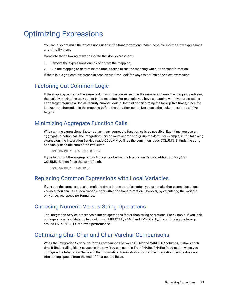# <span id="page-28-0"></span>Optimizing Expressions

You can also optimize the expressions used in the transformations. When possible, isolate slow expressions and simplify them.

Complete the following tasks to isolate the slow expressions:

- 1. Remove the expressions one-by-one from the mapping.
- 2. Run the mapping to determine the time it takes to run the mapping without the transformation.

If there is a significant difference in session run time, look for ways to optimize the slow expression.

### Factoring Out Common Logic

If the mapping performs the same task in multiple places, reduce the number of times the mapping performs the task by moving the task earlier in the mapping. For example, you have a mapping with five target tables. Each target requires a Social Security number lookup. Instead of performing the lookup five times, place the Lookup transformation in the mapping before the data flow splits. Next, pass the lookup results to all five targets.

### Minimizing Aggregate Function Calls

When writing expressions, factor out as many aggregate function calls as possible. Each time you use an aggregate function call, the Integration Service must search and group the data. For example, in the following expression, the Integration Service reads COLUMN\_A, finds the sum, then reads COLUMN\_B, finds the sum, and finally finds the sum of the two sums:

SUM(COLUMN\_A) + SUM(COLUMN\_B)

If you factor out the aggregate function call, as below, the Integration Service adds COLUMN\_A to COLUMN\_B, then finds the sum of both.

SUM(COLUMN\_A + COLUMN\_B)

#### Replacing Common Expressions with Local Variables

If you use the same expression multiple times in one transformation, you can make that expression a local variable. You can use a local variable only within the transformation. However, by calculating the variable only once, you speed performance.

#### Choosing Numeric Versus String Operations

The Integration Service processes numeric operations faster than string operations. For example, if you look up large amounts of data on two columns, EMPLOYEE\_NAME and EMPLOYEE\_ID, configuring the lookup around EMPLOYEE\_ID improves performance.

### Optimizing Char-Char and Char-Varchar Comparisons

When the Integration Service performs comparisons between CHAR and VARCHAR columns, it slows each time it finds trailing blank spaces in the row. You can use the TreatCHARasCHARonRead option when you configure the Integration Service in the Informatica Administrator so that the Integration Service does not trim trailing spaces from the end of Char source fields.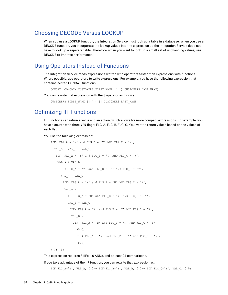#### <span id="page-29-0"></span>Choosing DECODE Versus LOOKUP

When you use a LOOKUP function, the Integration Service must look up a table in a database. When you use a DECODE function, you incorporate the lookup values into the expression so the Integration Service does not have to look up a separate table. Therefore, when you want to look up a small set of unchanging values, use DECODE to improve performance.

#### Using Operators Instead of Functions

The Integration Service reads expressions written with operators faster than expressions with functions. Where possible, use operators to write expressions. For example, you have the following expression that contains nested CONCAT functions:

```
CONCAT( CONCAT( CUSTOMERS.FIRST_NAME, ' ') CUSTOMERS.LAST_NAME)
```
You can rewrite that expression with the  $\parallel$  operator as follows:

CUSTOMERS.FIRST\_NAME || ' ' || CUSTOMERS.LAST\_NAME

#### Optimizing IIF Functions

IIF functions can return a value and an action, which allows for more compact expressions. For example, you have a source with three Y/N flags: FLG\_A, FLG\_B, FLG\_C. You want to return values based on the values of each flag.

You use the following expression:

```
IIF( FLG A = 'Y' and FLG_B = 'Y' AND FLG_C = 'Y',
 VAL A + VAL B + VAL C,
  IIF( FLG A = 'Y' and FLG B = 'Y' AND FLG C = 'N',
   VAL A + VAL B ,
     IIF( FLG A = 'Y' and FLG B = 'N' AND FLG C = 'Y',
     VAL A + VAL C,
       IIF( FLG A = 'Y' and FLG B = 'N' AND FLG C = 'N',
       VAL_A ,
         IIF( FLG A = 'N' and FLG B = 'Y' AND FLG C = 'Y',
          VAL B + VAL C,
           IIF( FLG A = 'N' and FLG B = 'Y' AND FLG C = 'N',
           VAL_B ,
             IIF( FLG A = 'N' and FLG B = 'N' AND FLG C = 'Y',
             VAL_C,
               IIF( FLG A = 'N' and FLG B = 'N' AND FLG C = 'N',
                0.0,
```
))))))))

This expression requires 8 IIFs, 16 ANDs, and at least 24 comparisons.

If you take advantage of the IIF function, you can rewrite that expression as:

IIF(FLG A='Y', VAL A, 0.0)+ IIF(FLG B='Y', VAL B, 0.0)+ IIF(FLG C='Y', VAL C, 0.0)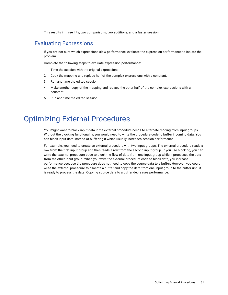This results in three IIFs, two comparisons, two additions, and a faster session.

#### <span id="page-30-0"></span>Evaluating Expressions

If you are not sure which expressions slow performance, evaluate the expression performance to isolate the problem.

Complete the following steps to evaluate expression performance:

- 1. Time the session with the original expressions.
- 2. Copy the mapping and replace half of the complex expressions with a constant.
- 3. Run and time the edited session.
- 4. Make another copy of the mapping and replace the other half of the complex expressions with a constant.
- 5. Run and time the edited session.

### Optimizing External Procedures

You might want to block input data if the external procedure needs to alternate reading from input groups. Without the blocking functionality, you would need to write the procedure code to buffer incoming data. You can block input data instead of buffering it which usually increases session performance.

For example, you need to create an external procedure with two input groups. The external procedure reads a row from the first input group and then reads a row from the second input group. If you use blocking, you can write the external procedure code to block the flow of data from one input group while it processes the data from the other input group. When you write the external procedure code to block data, you increase performance because the procedure does not need to copy the source data to a buffer. However, you could write the external procedure to allocate a buffer and copy the data from one input group to the buffer until it is ready to process the data. Copying source data to a buffer decreases performance.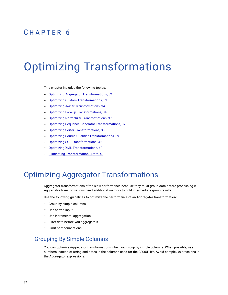# <span id="page-31-0"></span>CHAPTER 6

# Optimizing Transformations

This chapter includes the following topics:

- **•** Optimizing Aggregator Transformations, 32
- **•** Optimizing Custom [Transformations,](#page-32-0) 33
- **•** Optimizing Joiner [Transformations,](#page-33-0) 34
- **•** Optimizing Lookup [Transformations,](#page-33-0) 34
- **•** Optimizing Normalizer [Transformations,](#page-36-0) 37
- **•** Optimizing Sequence Generator [Transformations,](#page-36-0) 37
- **•** Optimizing Sorter [Transformations,](#page-37-0) 38
- **•** Optimizing Source Qualifier [Transformations,](#page-38-0) 39
- **•** Optimizing SQL [Transformations,](#page-38-0) 39
- **•** Optimizing XML [Transformations,](#page-39-0) 40
- **•** Eliminating [Transformation](#page-39-0) Errors, 40

## Optimizing Aggregator Transformations

Aggregator transformations often slow performance because they must group data before processing it. Aggregator transformations need additional memory to hold intermediate group results.

Use the following guidelines to optimize the performance of an Aggregator transformation:

- **•** Group by simple columns.
- **•** Use sorted input.
- **•** Use incremental aggregation.
- **•** Filter data before you aggregate it.
- **•** Limit port connections.

### Grouping By Simple Columns

You can optimize Aggregator transformations when you group by simple columns. When possible, use numbers instead of string and dates in the columns used for the GROUP BY. Avoid complex expressions in the Aggregator expressions.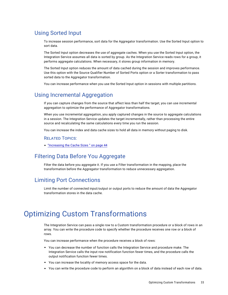### <span id="page-32-0"></span>Using Sorted Input

To increase session performance, sort data for the Aggregator transformation. Use the Sorted Input option to sort data.

The Sorted Input option decreases the use of aggregate caches. When you use the Sorted Input option, the Integration Service assumes all data is sorted by group. As the Integration Service reads rows for a group, it performs aggregate calculations. When necessary, it stores group information in memory.

The Sorted Input option reduces the amount of data cached during the session and improves performance. Use this option with the Source Qualifier Number of Sorted Ports option or a Sorter transformation to pass sorted data to the Aggregator transformation.

You can increase performance when you use the Sorted Input option in sessions with multiple partitions.

#### Using Incremental Aggregation

If you can capture changes from the source that affect less than half the target, you can use incremental aggregation to optimize the performance of Aggregator transformations.

When you use incremental aggregation, you apply captured changes in the source to aggregate calculations in a session. The Integration Service updates the target incrementally, rather than processing the entire source and recalculating the same calculations every time you run the session.

You can increase the index and data cache sizes to hold all data in memory without paging to disk.

#### RELATED TOPICS:

**•** ["Increasing](#page-43-0) the Cache Sizes " on page 44

### Filtering Data Before You Aggregate

Filter the data before you aggregate it. If you use a Filter transformation in the mapping, place the transformation before the Aggregator transformation to reduce unnecessary aggregation.

#### Limiting Port Connections

Limit the number of connected input/output or output ports to reduce the amount of data the Aggregator transformation stores in the data cache.

# Optimizing Custom Transformations

The Integration Service can pass a single row to a Custom transformation procedure or a block of rows in an array. You can write the procedure code to specify whether the procedure receives one row or a block of rows.

You can increase performance when the procedure receives a block of rows:

- **•** You can decrease the number of function calls the Integration Service and procedure make. The Integration Service calls the input row notification function fewer times, and the procedure calls the output notification function fewer times.
- **•** You can increase the locality of memory access space for the data.
- **•** You can write the procedure code to perform an algorithm on a block of data instead of each row of data.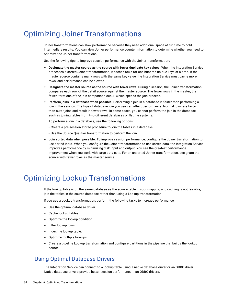# <span id="page-33-0"></span>Optimizing Joiner Transformations

Joiner transformations can slow performance because they need additional space at run time to hold intermediary results. You can view Joiner performance counter information to determine whether you need to optimize the Joiner transformations.

Use the following tips to improve session performance with the Joiner transformation:

- **• Designate the master source as the source with fewer duplicate key values.** When the Integration Service processes a sorted Joiner transformation, it caches rows for one hundred unique keys at a time. If the master source contains many rows with the same key value, the Integration Service must cache more rows, and performance can be slowed.
- **• Designate the master source as the source with fewer rows.** During a session, the Joiner transformation compares each row of the detail source against the master source. The fewer rows in the master, the fewer iterations of the join comparison occur, which speeds the join process.
- **• Perform joins in a database when possible.** Performing a join in a database is faster than performing a join in the session. The type of database join you use can affect performance. Normal joins are faster than outer joins and result in fewer rows. In some cases, you cannot perform the join in the database, such as joining tables from two different databases or flat file systems.

To perform a join in a database, use the following options:

- Create a pre-session stored procedure to join the tables in a database.
- Use the Source Qualifier transformation to perform the join.
- **• Join sorted data when possible.** To improve session performance, configure the Joiner transformation to use sorted input. When you configure the Joiner transformation to use sorted data, the Integration Service improves performance by minimizing disk input and output. You see the greatest performance improvement when you work with large data sets. For an unsorted Joiner transformation, designate the source with fewer rows as the master source.

# Optimizing Lookup Transformations

If the lookup table is on the same database as the source table in your mapping and caching is not feasible, join the tables in the source database rather than using a Lookup transformation.

If you use a Lookup transformation, perform the following tasks to increase performance:

- **•** Use the optimal database driver.
- **•** Cache lookup tables.
- **•** Optimize the lookup condition.
- **•** Filter lookup rows.
- **•** Index the lookup table.
- **•** Optimize multiple lookups.
- **•** Create a pipeline Lookup transformation and configure partitions in the pipeline that builds the lookup source.

#### Using Optimal Database Drivers

The Integration Service can connect to a lookup table using a native database driver or an ODBC driver. Native database drivers provide better session performance than ODBC drivers.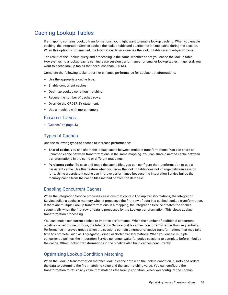### <span id="page-34-0"></span>Caching Lookup Tables

If a mapping contains Lookup transformations, you might want to enable lookup caching. When you enable caching, the Integration Service caches the lookup table and queries the lookup cache during the session. When this option is not enabled, the Integration Service queries the lookup table on a row-by-row basis.

The result of the Lookup query and processing is the same, whether or not you cache the lookup table. However, using a lookup cache can increase session performance for smaller lookup tables. In general, you want to cache lookup tables that need less than 300 MB.

Complete the following tasks to further enhance performance for Lookup transformations:

- **•** Use the appropriate cache type.
- **•** Enable concurrent caches.
- **•** Optimize Lookup condition matching.
- **•** Reduce the number of cached rows.
- **•** Override the ORDER BY statement.
- **•** Use a machine with more memory.

#### RELATED TOPICS:

**•** ["Caches"](#page-42-0) on page 43

#### Types of Caches

Use the following types of caches to increase performance:

- **• Shared cache.** You can share the lookup cache between multiple transformations. You can share an unnamed cache between transformations in the same mapping. You can share a named cache between transformations in the same or different mappings.
- **• Persistent cache.** To save and reuse the cache files, you can configure the transformation to use a persistent cache. Use this feature when you know the lookup table does not change between session runs. Using a persistent cache can improve performance because the Integration Service builds the memory cache from the cache files instead of from the database.

#### Enabling Concurrent Caches

When the Integration Service processes sessions that contain Lookup transformations, the Integration Service builds a cache in memory when it processes the first row of data in a cached Lookup transformation. If there are multiple Lookup transformations in a mapping, the Integration Service creates the caches sequentially when the first row of data is processed by the Lookup transformation. This slows Lookup transformation processing.

You can enable concurrent caches to improve performance. When the number of additional concurrent pipelines is set to one or more, the Integration Service builds caches concurrently rather than sequentially. Performance improves greatly when the sessions contain a number of active transformations that may take time to complete, such as Aggregator, Joiner, or Sorter transformations. When you enable multiple concurrent pipelines, the Integration Service no longer waits for active sessions to complete before it builds the cache. Other Lookup transformations in the pipeline also build caches concurrently.

#### Optimizing Lookup Condition Matching

When the Lookup transformation matches lookup cache data with the lookup condition, it sorts and orders the data to determine the first matching value and the last matching value. You can configure the transformation to return any value that matches the lookup condition. When you configure the Lookup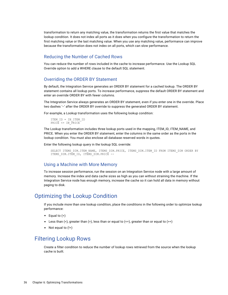<span id="page-35-0"></span>transformation to return any matching value, the transformation returns the first value that matches the lookup condition. It does not index all ports as it does when you configure the transformation to return the first matching value or the last matching value. When you use any matching value, performance can improve because the transformation does not index on all ports, which can slow performance.

#### Reducing the Number of Cached Rows

You can reduce the number of rows included in the cache to increase performance. Use the Lookup SQL Override option to add a WHERE clause to the default SQL statement.

#### Overriding the ORDER BY Statement

By default, the Integration Service generates an ORDER BY statement for a cached lookup. The ORDER BY statement contains all lookup ports. To increase performance, suppress the default ORDER BY statement and enter an override ORDER BY with fewer columns.

The Integration Service always generates an ORDER BY statement, even if you enter one in the override. Place two dashes '--' after the ORDER BY override to suppress the generated ORDER BY statement.

For example, a Lookup transformation uses the following lookup condition:

```
ITEM_ID = IN_ITEM_ID
PRICE <= IN PRICE
```
The Lookup transformation includes three lookup ports used in the mapping, ITEM\_ID, ITEM\_NAME, and PRICE. When you enter the ORDER BY statement, enter the columns in the same order as the ports in the lookup condition. You must also enclose all database reserved words in quotes.

Enter the following lookup query in the lookup SQL override:

```
SELECT ITEMS DIM.ITEM NAME, ITEMS DIM.PRICE, ITEMS DIM.ITEM ID FROM ITEMS DIM ORDER BY
ITEMS DIM.ITEM ID, ITEMS DIM.PRICE --
```
#### Using a Machine with More Memory

To increase session performance, run the session on an Integration Service node with a large amount of memory. Increase the index and data cache sizes as high as you can without straining the machine. If the Integration Service node has enough memory, increase the cache so it can hold all data in memory without paging to disk.

#### Optimizing the Lookup Condition

If you include more than one lookup condition, place the conditions in the following order to optimize lookup performance:

- **•** Equal to (=)
- Less than  $\left\langle \cdot \right\rangle$ , greater than  $\left\langle \cdot \right\rangle$ , less than or equal to  $\left\langle \cdot \right\rangle$ , greater than or equal to  $\left\langle \cdot \right\rangle$
- **•** Not equal to (!=)

### Filtering Lookup Rows

Create a filter condition to reduce the number of lookup rows retrieved from the source when the lookup cache is built.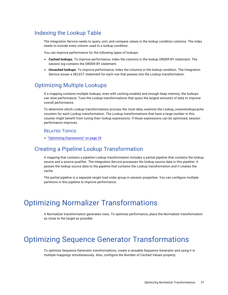#### <span id="page-36-0"></span>Indexing the Lookup Table

The Integration Service needs to query, sort, and compare values in the lookup condition columns. The index needs to include every column used in a lookup condition.

You can improve performance for the following types of lookups:

- **• Cached lookups.** To improve performance, index the columns in the lookup ORDER BY statement. The session log contains the ORDER BY statement.
- **• Uncached lookups.** To improve performance, index the columns in the lookup condition. The Integration Service issues a SELECT statement for each row that passes into the Lookup transformation.

#### Optimizing Multiple Lookups

If a mapping contains multiple lookups, even with caching enabled and enough heap memory, the lookups can slow performance. Tune the Lookup transformations that query the largest amounts of data to improve overall performance.

To determine which Lookup transformations process the most data, examine the Lookup\_rowsinlookupcache counters for each Lookup transformation. The Lookup transformations that have a large number in this counter might benefit from tuning their lookup expressions. If those expressions can be optimized, session performance improves.

#### RELATED TOPICS:

**•** "Optimizing [Expressions"](#page-28-0) on page 29

#### Creating a Pipeline Lookup Transformation

A mapping that contains a pipeline Lookup transformation includes a partial pipeline that contains the lookup source and a source qualifier. The Integration Service processes the lookup source data in this pipeline. It passes the lookup source data to the pipeline that contains the Lookup transformation and it creates the cache.

The partial pipeline is a separate target load order group in session properties. You can configure multiple partitions in this pipeline to improve performance.

## Optimizing Normalizer Transformations

A Normalizer transformation generates rows. To optimize performance, place the Normalizer transformation as close to the target as possible.

## Optimizing Sequence Generator Transformations

To optimize Sequence Generator transformations, create a reusable Sequence Generator and using it in multiple mappings simultaneously. Also, configure the Number of Cached Values property.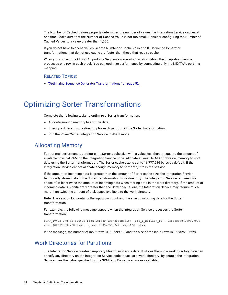<span id="page-37-0"></span>The Number of Cached Values property determines the number of values the Integration Service caches at one time. Make sure that the Number of Cached Value is not too small. Consider configuring the Number of Cached Values to a value greater than 1,000.

If you do not have to cache values, set the Number of Cache Values to 0. Sequence Generator transformations that do not use cache are faster than those that require cache.

When you connect the CURRVAL port in a Sequence Generator transformation, the Integration Service processes one row in each block. You can optimize performance by connecting only the NEXTVAL port in a mapping.

#### RELATED TOPICS:

**•** "Optimizing Sequence Generator [Transformations"](#page-51-0) on page 52

## Optimizing Sorter Transformations

Complete the following tasks to optimize a Sorter transformation:

- **•** Allocate enough memory to sort the data.
- **•** Specify a different work directory for each partition in the Sorter transformation.
- **•** Run the PowerCenter Integration Service in ASCII mode.

#### Allocating Memory

For optimal performance, configure the Sorter cache size with a value less than or equal to the amount of available physical RAM on the Integration Service node. Allocate at least 16 MB of physical memory to sort data using the Sorter transformation. The Sorter cache size is set to 16,777,216 bytes by default. If the Integration Service cannot allocate enough memory to sort data, it fails the session.

If the amount of incoming data is greater than the amount of Sorter cache size, the Integration Service temporarily stores data in the Sorter transformation work directory. The Integration Service requires disk space of at least twice the amount of incoming data when storing data in the work directory. If the amount of incoming data is significantly greater than the Sorter cache size, the Integration Service may require much more than twice the amount of disk space available to the work directory.

**Note:** The session log contains the input row count and the size of incoming data for the Sorter transformation.

For example, the following message appears when the Integration Service processes the Sorter transformation:

SORT\_40422 End of output from Sorter Transformation [srt\_1\_Billion\_FF]. Processed 999999999 rows (866325637228 input bytes; 868929593344 temp I/O bytes)

In the message, the number of input rows is 999999999 and the size of the input rows is 866325637228.

#### Work Directories for Partitions

The Integration Service creates temporary files when it sorts data. It stores them in a work directory. You can specify any directory on the Integration Service node to use as a work directory. By default, the Integration Service uses the value specified for the \$PMTempDir service process variable.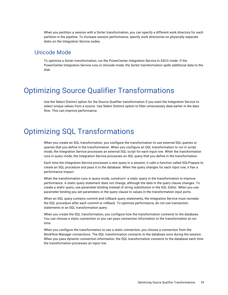<span id="page-38-0"></span>When you partition a session with a Sorter transformation, you can specify a different work directory for each partition in the pipeline. To increase session performance, specify work directories on physically separate disks on the Integration Service nodes.

#### Unicode Mode

To optimize a Sorter transformation, run the PowerCenter Integration Service in ASCII mode. If the PowerCenter Integration Service runs in Unicode mode, the Sorter transformation spills additional data to the disk.

## Optimizing Source Qualifier Transformations

Use the Select Distinct option for the Source Qualifier transformation if you want the Integration Service to select unique values from a source. Use Select Distinct option to filter unnecessary data earlier in the data flow. This can improve performance.

## Optimizing SQL Transformations

When you create an SQL transformation, you configure the transformation to use external SQL queries or queries that you define in the transformation. When you configure an SQL transformation to run in script mode, the Integration Service processes an external SQL script for each input row. When the transformation runs in query mode, the Integration Service processes an SQL query that you define in the transformation.

Each time the Integration Service processes a new query in a session, it calls a function called SQLPrepare to create an SQL procedure and pass it to the database. When the query changes for each input row, it has a performance impact.

When the transformation runs in query mode, construct= a static query in the transformation to improve performance. A static query statement does not change, although the data in the query clause changes. To create a static query, use parameter binding instead of string substitution in the SQL Editor. When you use parameter binding you set parameters in the query clause to values in the transformation input ports.

When an SQL query contains commit and rollback query statements, the Integration Service must recreate the SQL procedure after each commit or rollback. To optimize performance, do not use transaction statements in an SQL transformation query.

When you create the SQL transformation, you configure how the transformation connects to the database. You can choose a static connection or you can pass connection information to the transformation at run time.

When you configure the transformation to use a static connection, you choose a connection from the Workflow Manager connections. The SQL transformation connects to the database once during the session. When you pass dynamic connection information, the SQL transformation connects to the database each time the transformation processes an input row.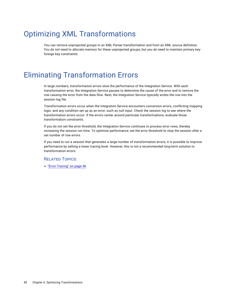# <span id="page-39-0"></span>Optimizing XML Transformations

You can remove unprojected groups in an XML Parser transformation and from an XML source definition. You do not need to allocate memory for these unprojected groups, but you do need to maintain primary keyforeign key constraints.

# Eliminating Transformation Errors

In large numbers, transformation errors slow the performance of the Integration Service. With each transformation error, the Integration Service pauses to determine the cause of the error and to remove the row causing the error from the data flow. Next, the Integration Service typically writes the row into the session log file.

Transformation errors occur when the Integration Service encounters conversion errors, conflicting mapping logic, and any condition set up as an error, such as null input. Check the session log to see where the transformation errors occur. If the errors center around particular transformations, evaluate those transformation constraints.

If you do not set the error threshold, the Integration Service continues to process error rows, thereby increasing the session run time. To optimize performance, set the error threshold to stop the session after a set number of row errors.

If you need to run a session that generates a large number of transformation errors, it is possible to improve performance by setting a lower tracing level. However, this is not a recommended long-term solution to transformation errors.

#### RELATED TOPICS:

**•** "Error [Tracing"](#page-45-0) on page 46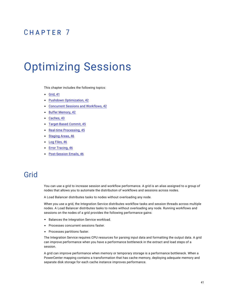## <span id="page-40-0"></span>CHAPTER 7

# Optimizing Sessions

This chapter includes the following topics:

- **•** Grid, 41
- **•** Pushdown [Optimization,](#page-41-0) 42
- **•** Concurrent Sessions and [Workflows,](#page-41-0) 42
- **•** Buffer [Memory,](#page-41-0) 42
- **•** [Caches,](#page-42-0) 43
- **•** [Target-Based](#page-44-0) Commit, 45
- **•** Real-time [Processing,](#page-44-0) 45
- **•** [Staging](#page-45-0) Areas, 46
- **•** Log [Files,](#page-45-0) 46
- **•** Error [Tracing,](#page-45-0) 46
- **•** [Post-Session](#page-45-0) Emails, 46

## Grid

You can use a grid to increase session and workflow performance. A grid is an alias assigned to a group of nodes that allows you to automate the distribution of workflows and sessions across nodes.

A Load Balancer distributes tasks to nodes without overloading any node.

When you use a grid, the Integration Service distributes workflow tasks and session threads across multiple nodes. A Load Balancer distributes tasks to nodes without overloading any node. Running workflows and sessions on the nodes of a grid provides the following performance gains:

- **•** Balances the Integration Service workload.
- **•** Processes concurrent sessions faster.
- **•** Processes partitions faster.

The Integration Service requires CPU resources for parsing input data and formatting the output data. A grid can improve performance when you have a performance bottleneck in the extract and load steps of a session.

A grid can improve performance when memory or temporary storage is a performance bottleneck. When a PowerCenter mapping contains a transformation that has cache memory, deploying adequate memory and separate disk storage for each cache instance improves performance.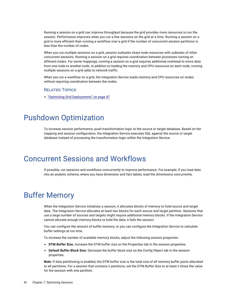<span id="page-41-0"></span>Running a session on a grid can improve throughput because the grid provides more resources to run the session. Performance improves when you run a few sessions on the grid at a time. Running a session on a grid is more efficient than running a workflow over a grid if the number of concurrent session partitions is less than the number of nodes.

When you run multiple sessions on a grid, session subtasks share node resources with subtasks of other concurrent sessions. Running a session on a grid requires coordination between processes running on different nodes. For some mappings, running a session on a grid requires additional overhead to move data from one node to another node. In addition to loading the memory and CPU resources on each node, running multiple sessions on a grid adds to network traffic.

When you run a workflow on a grid, the Integration Service loads memory and CPU resources on nodes without requiring coordination between the nodes.

#### RELATED TOPICS:

**•** "Optimizing Grid [Deployments"](#page-46-0) on page 47

## Pushdown Optimization

To increase session performance, push transformation logic to the source or target database. Based on the mapping and session configuration, the Integration Service executes SQL against the source or target database instead of processing the transformation logic within the Integration Service.

## Concurrent Sessions and Workflows

If possible, run sessions and workflows concurrently to improve performance. For example, if you load data into an analytic schema, where you have dimension and fact tables, load the dimensions concurrently.

## Buffer Memory

When the Integration Service initializes a session, it allocates blocks of memory to hold source and target data. The Integration Service allocates at least two blocks for each source and target partition. Sessions that use a large number of sources and targets might require additional memory blocks. If the Integration Service cannot allocate enough memory blocks to hold the data, it fails the session.

You can configure the amount of buffer memory, or you can configure the Integration Service to calculate buffer settings at run time.

To increase the number of available memory blocks, adjust the following session properties:

- **• DTM Buffer Size.** Increase the DTM buffer size on the Properties tab in the session properties.
- **• Default Buffer Block Size.** Decrease the buffer block size on the Config Object tab in the session properties.

**Note:** If data partitioning is enabled, the DTM buffer size is the total size of all memory buffer pools allocated to all partitions. For a session that contains *n* partitions, set the DTM Buffer Size to at least *n* times the value for the session with one partition.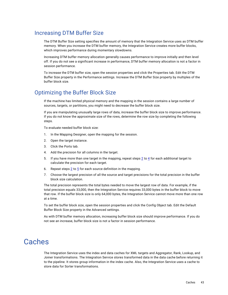#### <span id="page-42-0"></span>Increasing DTM Buffer Size

The DTM Buffer Size setting specifies the amount of memory that the Integration Service uses as DTM buffer memory. When you increase the DTM buffer memory, the Integration Service creates more buffer blocks, which improves performance during momentary slowdowns.

Increasing DTM buffer memory allocation generally causes performance to improve initially and then level off. If you do not see a significant increase in performance, DTM buffer memory allocation is not a factor in session performance.

To increase the DTM buffer size, open the session properties and click the Properties tab. Edit the DTM Buffer Size property in the Performance settings. Increase the DTM Buffer Size property by multiples of the buffer block size.

#### Optimizing the Buffer Block Size

If the machine has limited physical memory and the mapping in the session contains a large number of sources, targets, or partitions, you might need to decrease the buffer block size.

If you are manipulating unusually large rows of data, increase the buffer block size to improve performance. If you do not know the approximate size of the rows, determine the row size by completing the following steps.

To evaluate needed buffer block size:

- 1. In the Mapping Designer, open the mapping for the session.
- 2. Open the target instance.
- 3. Click the Ports tab.
- 4. Add the precision for all columns in the target.
- 5. If you have more than one target in the mapping, repeat steps 2 to 4 for each additional target to calculate the precision for each target.
- 6. Repeat steps 2 to 5 for each source definition in the mapping.
- 7. Choose the largest precision of all the source and target precisions for the total precision in the buffer block size calculation.

The total precision represents the total bytes needed to move the largest row of data. For example, if the total precision equals 33,000, then the Integration Service requires 33,000 bytes in the buffer block to move that row. If the buffer block size is only 64,000 bytes, the Integration Service cannot move more than one row at a time.

To set the buffer block size, open the session properties and click the Config Object tab. Edit the Default Buffer Block Size property in the Advanced settings.

As with DTM buffer memory allocation, increasing buffer block size should improve performance. If you do not see an increase, buffer block size is not a factor in session performance.

## Caches

The Integration Service uses the index and data caches for XML targets and Aggregator, Rank, Lookup, and Joiner transformations. The Integration Service stores transformed data in the data cache before returning it to the pipeline. It stores group information in the index cache. Also, the Integration Service uses a cache to store data for Sorter transformations.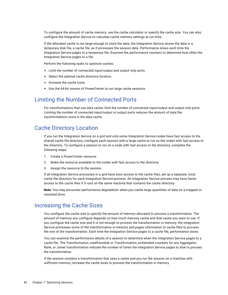<span id="page-43-0"></span>To configure the amount of cache memory, use the cache calculator or specify the cache size. You can also configure the Integration Service to calculate cache memory settings at run time.

If the allocated cache is not large enough to store the data, the Integration Service stores the data in a temporary disk file, a cache file, as it processes the session data. Performance slows each time the Integration Service pages to a temporary file. Examine the performance counters to determine how often the Integration Service pages to a file.

Perform the following tasks to optimize caches:

- **•** Limit the number of connected input/output and output only ports.
- **•** Select the optimal cache directory location.
- **•** Increase the cache sizes.
- **•** Use the 64-bit version of PowerCenter to run large cache sessions.

#### Limiting the Number of Connected Ports

For transformations that use data cache, limit the number of connected input/output and output only ports. Limiting the number of connected input/output or output ports reduces the amount of data the transformations store in the data cache.

#### Cache Directory Location

If you run the Integration Service on a grid and only some Integration Service nodes have fast access to the shared cache file directory, configure each session with a large cache to run on the nodes with fast access to the directory. To configure a session to run on a node with fast access to the directory, complete the following steps:

- 1. Create a PowerCenter resource.
- 2. Make the resource available to the nodes with fast access to the directory.
- 3. Assign the resource to the session.

If all Integration Service processes in a grid have slow access to the cache files, set up a separate, local cache file directory for each Integration Service process. An Integration Service process may have faster access to the cache files if it runs on the same machine that contains the cache directory.

**Note:** You may encounter performance degradation when you cache large quantities of data on a mapped or mounted drive.

#### Increasing the Cache Sizes

You configure the cache size to specify the amount of memory allocated to process a transformation. The amount of memory you configure depends on how much memory cache and disk cache you want to use. If you configure the cache size and it is not enough to process the transformation in memory, the Integration Service processes some of the transformation in memory and pages information to cache files to process the rest of the transformation. Each time the Integration Service pages to a cache file, performance slows.

You can examine the performance details of a session to determine when the Integration Service pages to a cache file. The *Transformation*\_readfromdisk or *Transformation*\_writetodisk counters for any Aggregator, Rank, or Joiner transformation indicate the number of times the Integration Service pages to disk to process the transformation.

If the session contains a transformation that uses a cache and you run the session on a machine with sufficient memory, increase the cache sizes to process the transformation in memory.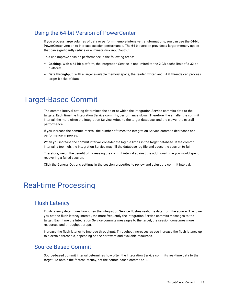#### <span id="page-44-0"></span>Using the 64-bit Version of PowerCenter

If you process large volumes of data or perform memory-intensive transformations, you can use the 64-bit PowerCenter version to increase session performance. The 64-bit version provides a larger memory space that can significantly reduce or eliminate disk input/output.

This can improve session performance in the following areas:

- **• Caching.** With a 64-bit platform, the Integration Service is not limited to the 2 GB cache limit of a 32-bit platform.
- **• Data throughput.** With a larger available memory space, the reader, writer, and DTM threads can process larger blocks of data.

## Target-Based Commit

The commit interval setting determines the point at which the Integration Service commits data to the targets. Each time the Integration Service commits, performance slows. Therefore, the smaller the commit interval, the more often the Integration Service writes to the target database, and the slower the overall performance.

If you increase the commit interval, the number of times the Integration Service commits decreases and performance improves.

When you increase the commit interval, consider the log file limits in the target database. If the commit interval is too high, the Integration Service may fill the database log file and cause the session to fail.

Therefore, weigh the benefit of increasing the commit interval against the additional time you would spend recovering a failed session.

Click the General Options settings in the session properties to review and adjust the commit interval.

## Real-time Processing

#### Flush Latency

Flush latency determines how often the Integration Service flushes real-time data from the source. The lower you set the flush latency interval, the more frequently the Integration Service commits messages to the target. Each time the Integration Service commits messages to the target, the session consumes more resources and throughput drops.

Increase the flush latency to improve throughput. Throughput increases as you increase the flush latency up to a certain threshold, depending on the hardware and available resources.

#### Source-Based Commit

Source-based commit interval determines how often the Integration Service commits real-time data to the target. To obtain the fastest latency, set the source-based commit to 1.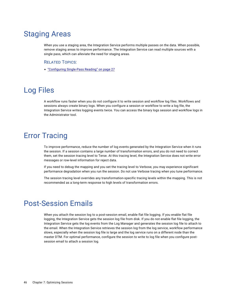## <span id="page-45-0"></span>Staging Areas

When you use a staging area, the Integration Service performs multiple passes on the data. When possible, remove staging areas to improve performance. The Integration Service can read multiple sources with a single pass, which can alleviate the need for staging areas.

#### RELATED TOPICS:

**•** ["Configuring](#page-26-0) Single-Pass Reading" on page 27

# Log Files

A workflow runs faster when you do not configure it to write session and workflow log files. Workflows and sessions always create binary logs. When you configure a session or workflow to write a log file, the Integration Service writes logging events twice. You can access the binary logs session and workflow logs in the Administrator tool.

# Error Tracing

To improve performance, reduce the number of log events generated by the Integration Service when it runs the session. If a session contains a large number of transformation errors, and you do not need to correct them, set the session tracing level to Terse. At this tracing level, the Integration Service does not write error messages or row-level information for reject data.

If you need to debug the mapping and you set the tracing level to Verbose, you may experience significant performance degradation when you run the session. Do not use Verbose tracing when you tune performance.

The session tracing level overrides any transformation-specific tracing levels within the mapping. This is not recommended as a long-term response to high levels of transformation errors.

## Post-Session Emails

When you attach the session log to a post-session email, enable flat file logging. If you enable flat file logging, the Integration Service gets the session log file from disk. If you do not enable flat file logging, the Integration Service gets the log events from the Log Manager and generates the session log file to attach to the email. When the Integration Service retrieves the session log from the log service, workflow performance slows, especially when the session log file is large and the log service runs on a different node than the master DTM. For optimal performance, configure the session to write to log file when you configure postsession email to attach a session log.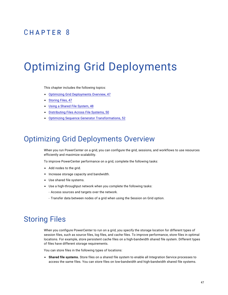## <span id="page-46-0"></span>CHAPTER 8

# Optimizing Grid Deployments

This chapter includes the following topics:

- **•** Optimizing Grid Deployments Overview, 47
- **•** Storing Files, 47
- **•** Using a Shared File [System,](#page-47-0) 48
- **•** [Distributing](#page-49-0) Files Across File Systems, 50
- **•** Optimizing Sequence Generator [Transformations,](#page-51-0) 52

## Optimizing Grid Deployments Overview

When you run PowerCenter on a grid, you can configure the grid, sessions, and workflows to use resources efficiently and maximize scalability.

To improve PowerCenter performance on a grid, complete the following tasks:

- **•** Add nodes to the grid.
- **•** Increase storage capacity and bandwidth.
- **•** Use shared file systems.
- **•** Use a high-throughput network when you complete the following tasks:
	- Access sources and targets over the network.
	- Transfer data between nodes of a grid when using the Session on Grid option.

## Storing Files

When you configure PowerCenter to run on a grid, you specify the storage location for different types of session files, such as source files, log files, and cache files. To improve performance, store files in optimal locations. For example, store persistent cache files on a high-bandwidth shared file system. Different types of files have different storage requirements.

You can store files in the following types of locations:

**• Shared file systems.** Store files on a shared file system to enable all Integration Service processes to access the same files. You can store files on low-bandwidth and high-bandwidth shared file systems.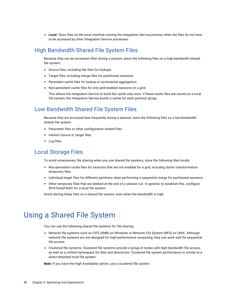<span id="page-47-0"></span>**• Local.** Store files on the local machine running the Integration Service process when the files do not have to be accessed by other Integration Service processes.

#### High Bandwidth Shared File System Files

Because they can be accessed often during a session, place the following files on a high-bandwidth shared file system:

- **•** Source files, including flat files for lookups.
- **•** Target files, including merge files for partitioned sessions.
- **•** Persistent cache files for lookup or incremental aggregation.
- **•** Non-persistent cache files for *only* grid-enabled sessions on a grid.

This allows the Integration Service to build the cache only once. If these cache files are stored on a local file system, the Integration Service builds a cache for each partition group.

#### Low Bandwidth Shared File System Files

Because they are accessed less frequently during a session, store the following files on a low-bandwidth shared file system:

- **•** Parameter files or other configuration related files.
- **•** Indirect source or target files.
- **•** Log files.

#### Local Storage Files

To avoid unnecessary file sharing when you use shared file systems, store the following files locally:

- **•** Non-persistent cache files for sessions that are not enabled for a grid, including Sorter transformation temporary files.
- **•** Individual target files for different partitions when performing a sequential merge for partitioned sessions.
- **•** Other temporary files that are deleted at the end of a session run. In general, to establish this, configure \$PmTempFileDir for a local file system.

Avoid storing these files on a shared file system, even when the bandwidth is high.

## Using a Shared File System

You can use the following shared file systems for file sharing:

- **•** Network file systems such as CIFS (SMB) on Windows or Network File System (NFS) on UNIX. Although network file systems are not designed for high-performance computing, they can work well for sequential file access.
- **•** Clustered file systems. Clustered file systems provide a group of nodes with high-bandwidth file access, as well as a unified namespace for files and directories. Clustered file system performance is similar to a direct-attached local file system.

**Note:** If you have the High Availability option, use a clustered file system.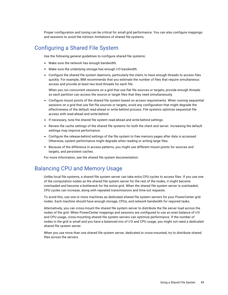<span id="page-48-0"></span>Proper configuration and tuning can be critical for small grid performance. You can also configure mappings and sessions to avoid the intrinsic limitations of shared file systems.

#### Configuring a Shared File System

Use the following general guidelines to configure shared file systems:

- **•** Make sure the network has enough bandwidth.
- **•** Make sure the underlying storage has enough I/O bandwidth.
- **•** Configure the shared file system daemons, particularly the client, to have enough threads to access files quickly. For example, IBM recommends that you estimate the number of files that require simultaneous access and provide at least two biod threads for each file.

When you run concurrent sessions on a grid that use flat file sources or targets, provide enough threads so each partition can access the source or target files that they need simultaneously.

- **•** Configure mount points of the shared file system based on access requirements. When running sequential sessions on a grid that use flat file sources or targets, avoid any configuration that might degrade the effectiveness of the default read-ahead or write-behind process. File systems optimize sequential file access with read-ahead and write-behind.
- **•** If necessary, tune the shared file system read-ahead and write-behind settings.
- **•** Review the cache settings of the shared file systems for both the client and server. Increasing the default settings may improve performance.
- **•** Configure the release-behind settings of the file system to free memory pages after data is accessed. Otherwise, system performance might degrade when reading or writing large files.
- **•** Because of the difference in access patterns, you might use different mount points for sources and targets, and persistent caches.

For more information, see the shared file system documentation.

#### Balancing CPU and Memory Usage

Unlike local file systems, a shared file system server can take extra CPU cycles to access files. If you use one of the computation nodes as the shared file system server for the rest of the nodes, it might become overloaded and become a bottleneck for the entire grid. When the shared file system server is overloaded, CPU cycles can increase, along with repeated transmissions and time-out requests.

To avoid this, use one or more machines as dedicated shared file system servers for your PowerCenter grid nodes. Each machine should have enough storage, CPUs, and network bandwidth for required tasks.

Alternatively, you can cross-mount the shared file system server to distribute the file server load across the nodes of the grid. When PowerCenter mappings and sessions are configured to use an even balance of I/O and CPU usage, cross-mounting shared file system servers can optimize performance. If the number of nodes in the grid is small and you have a balanced mix of I/O and CPU usage, you might not need a dedicated shared file system server.

When you use more than one shared file system server, dedicated or cross-mounted, try to distribute shared files across the servers.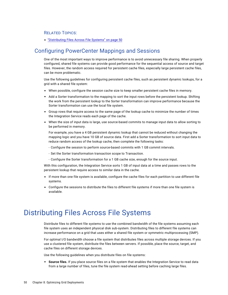#### <span id="page-49-0"></span>RELATED TOPICS:

**•** "Distributing Files Across File Systems" on page 50

#### Configuring PowerCenter Mappings and Sessions

One of the most important ways to improve performance is to avoid unnecessary file sharing. When properly configured, shared file systems can provide good performance for the sequential access of source and target files. However, the random access required for persistent cache files, especially large persistent cache files, can be more problematic.

Use the following guidelines for configuring persistent cache files, such as persistent dynamic lookups, for a grid with a shared file system:

- **•** When possible, configure the session cache size to keep smaller persistent cache files in memory.
- **•** Add a Sorter transformation to the mapping to sort the input rows before the persistent lookup. Shifting the work from the persistent lookup to the Sorter transformation can improve performance because the Sorter transformation can use the local file system.
- **•** Group rows that require access to the same page of the lookup cache to minimize the number of times the Integration Service reads each page of the cache.
- **•** When the size of input data is large, use source-based commits to manage input data to allow sorting to be performed in memory.

For example, you have a 4 GB persistent dynamic lookup that cannot be reduced without changing the mapping logic and you have 10 GB of source data. First add a Sorter transformation to sort input data to reduce random access of the lookup cache, then complete the following tasks:

- Configure the session to perform source-based commits with 1 GB commit intervals.
- Set the Sorter transformation transaction scope to Transaction.
- Configure the Sorter transformation for a 1 GB cache size, enough for the source input.

With this configuration, the Integration Service sorts 1 GB of input data at a time and passes rows to the persistent lookup that require access to similar data in the cache.

- If more than one file system is available, configure the cache files for each partition to use different file systems.
- **•** Configure the sessions to distribute the files to different file systems if more than one file system is available.

## Distributing Files Across File Systems

Distribute files to different file systems to use the combined bandwidth of the file systems assuming each file system uses an independent physical disk sub-system. Distributing files to different file systems can increase performance on a grid that uses either a shared file system or symmetric multiprocessing (SMP).

For optimal I/O bandwidth choose a file system that distributes files across multiple storage devices. If you use a clustered file system, distribute the files between servers. If possible, place the source, target, and cache files on different storage devices.

Use the following guidelines when you distribute files on file systems:

**• Source files.** If you place source files on a file system that enables the Integration Service to read data from a large number of files, tune the file system read-ahead setting before caching large files.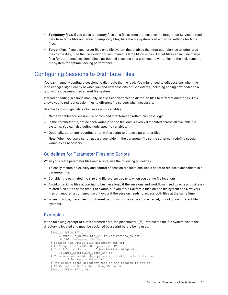- <span id="page-50-0"></span>**• Temporary files.** If you place temporary files on a file system that enables the Integration Service to read data from large files and write to temporary files, tune the file system read and write settings for large files.
- **• Target files.** If you place target files on a file system that enables the Integration Service to write large files to the disk, tune the file system for simultaneous large block writes. Target files can include merge files for partitioned sessions. Since partitioned sessions on a grid need to write files to the disk, tune the file system for optimal locking performance.

### Configuring Sessions to Distribute Files

You can manually configure sessions to distribute the file load. You might need to edit sessions when the load changes significantly or when you add new sessions or file systems, including adding new nodes to a grid with a cross-mounted shared file system.

Instead of editing sessions manually, use session variables to distribute files to different directories. This allows you to redirect session files to different file servers when necessary.

Use the following guidelines to use session variables:

- **•** Name variables for session file names and directories to reflect business logic.
- **•** In the parameter file, define each variable so the file load is evenly distributed across all available file systems. You can also define node-specific variables.
- **•** Optionally, automate reconfiguration with a script to process parameter files.

**Note:** When you use a script, use a placeholder in the parameter file so the script can redefine session variables as necessary.

#### Guidelines for Parameter Files and Scripts

When you create parameter files and scripts, use the following guidelines:

- **•** To easily maintain flexibility and control of session file locations, use a script to replace placeholders in a parameter file.
- **•** Consider the estimated file size and file system capacity when you define file locations.
- **•** Avoid organizing files according to business logic if the sessions and workflows need to access businessrelated files at the same time. For example, if you store California files on one file system and New York files on another, a bottleneck might occur if the session needs to access both files at the same time.
- **•** When possible, place files for different partitions of the same source, target, or lookup on different file systems.

#### Examples

In the following excerpt of a raw parameter file, the placeholder "{fs}" represents the file system where the directory is located and must be assigned by a script before being used:

```
[SessionFFSrc_FFTgt_CA]
    $InputFile driverInfo CA={fs}/driverinfo ca.dat
    $SubDir processed CA={fs}
# Session has Output file directory set to:
# $PmTargetFileDir/$SubDir processed CA
# This file is the input of SessionFFSrc DBTgt CA.
    $SubDir_RecordLkup_Cache_CA={fs}
# This session builds this persistent lookup cache to be used
          # by SessionFFSrc_DBTgt_CA.
# The Lookup cache directory name in the session is set to:
# $PmCacheDir/$SubDir RecordLkup Cache CA
[SessionFFSrc_FFTgt_NY]
```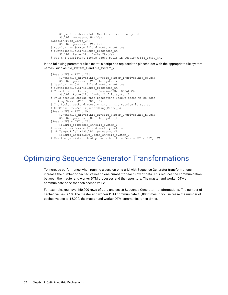```
$InputFile_driverInfo_NY={fs}/driverinfo_ny.dat
    $SubDir processed NY={Fs}[SessionFFSrc_DBTgt_CA]
    $SubDir_processed_CA={fs}
# session has Source file directory set to:
# $PmTargetFileDir/$SubDir_processed_CA
    $SubDir_RecordLkup_Cache_CA={fs}
# Use the persistent lookup cache built in SessionFFSrc FFTgt CA.
```
In the following parameter file excerpt, a script has replaced the placeholder with the appropriate file system names, such as file\_system\_1 and file\_system\_2:

```
[SessionFFSrc_FFTgt_CA]
    $InputFile driverInfo CA=file system 1/driverinfo ca.dat
    $SubDir_processed_CA=file_system_2
# Session has Output file directory set to:
# $PmTargetFileDir/$SubDir processed CA
# This file is the input of SessionFFSrc DBTgt CA.
    $SubDir RecordLkup Cache CA=file system 1
# This session builds this persistent lookup cache to be used
   # by SessionFFSrc_DBTgt_CA.
# The Lookup cache directory name in the session is set to:
# $PmCacheDir/$SubDir RecordLkup Cache CA
[SessionFFSrc_FFTgt_NY]
    $InputFile driverInfo NY=file system 2/driverinfo ny.dat
    $SubDir processed NY=file system 1
[SessionFFSrc_DBTgt_CA]
    $SubDir_processed_CA=file_system_1
# session has Source file directory set to:
# $PmTargetFileDir/$SubDir processed CA
   $SubDir RecordLkup Cache CA=file system 2
# Use the persistent lookup cache built in SessionFFSrc_FFTgt_CA.
```
## Optimizing Sequence Generator Transformations

To increase performance when running a session on a grid with Sequence Generator transformations, increase the number of cached values to one number for each row of data. This reduces the communication between the master and worker DTM processes and the repository. The master and worker DTMs communicate once for each cached value.

For example, you have 150,000 rows of data and seven Sequence Generator transformations. The number of cached values is 10. The master and worker DTM communicate 15,000 times. If you increase the number of cached values to 15,000, the master and worker DTM communicate ten times.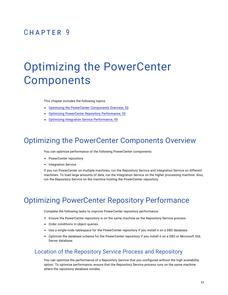## <span id="page-52-0"></span>CHAPTER 9

# Optimizing the PowerCenter Components

This chapter includes the following topics:

- **•** Optimizing the PowerCenter Components Overview, 53
- **•** Optimizing PowerCenter Repository Performance, 53
- **•** Optimizing Integration Service [Performance,](#page-54-0) 55

## Optimizing the PowerCenter Components Overview

You can optimize performance of the following PowerCenter components:

- **•** PowerCenter repository
- **•** Integration Service

If you run PowerCenter on multiple machines, run the Repository Service and Integration Service on different machines. To load large amounts of data, run the Integration Service on the higher processing machine. Also, run the Repository Service on the machine hosting the PowerCenter repository.

## Optimizing PowerCenter Repository Performance

Complete the following tasks to improve PowerCenter repository performance:

- **•** Ensure the PowerCenter repository is on the same machine as the Repository Service process.
- **•** Order conditions in object queries.
- **•** Use a single-node tablespace for the PowerCenter repository if you install it on a DB2 database.
- **•** Optimize the database schema for the PowerCenter repository if you install it on a DB2 or Microsoft SQL Server database.

#### Location of the Repository Service Process and Repository

You can optimize the performance of a Repository Service that you configured without the high availability option. To optimize performance, ensure that the Repository Service process runs on the same machine where the repository database resides.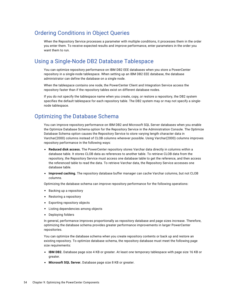#### <span id="page-53-0"></span>Ordering Conditions in Object Queries

When the Repository Service processes a parameter with multiple conditions, it processes them in the order you enter them. To receive expected results and improve performance, enter parameters in the order you want them to run.

#### Using a Single-Node DB2 Database Tablespace

You can optimize repository performance on IBM DB2 EEE databases when you store a PowerCenter repository in a single-node tablespace. When setting up an IBM DB2 EEE database, the database administrator can define the database on a single node.

When the tablespace contains one node, the PowerCenter Client and Integration Service access the repository faster than if the repository tables exist on different database nodes.

If you do not specify the tablespace name when you create, copy, or restore a repository, the DB2 system specifies the default tablespace for each repository table. The DB2 system may or may not specify a singlenode tablespace.

#### Optimizing the Database Schema

You can improve repository performance on IBM DB2 and Microsoft SQL Server databases when you enable the Optimize Database Schema option for the Repository Service in the Administration Console. The Optimize Database Schema option causes the Repository Service to store varying length character data in Varchar(2000) columns instead of CLOB columns wherever possible. Using Varchar(2000) columns improves repository performance in the following ways:

- **• Reduced disk access.** The PowerCenter repository stores Varchar data directly in columns within a database table. It stores CLOB data as references to another table. To retrieve CLOB data from the repository, the Repository Service must access one database table to get the reference, and then access the referenced table to read the data. To retrieve Varchar data, the Repository Service accesses one database table.
- **• Improved caching.** The repository database buffer manager can cache Varchar columns, but not CLOB columns.

Optimizing the database schema can improve repository performance for the following operations:

- **•** Backing up a repository
- **•** Restoring a repository
- **•** Exporting repository objects
- **•** Listing dependencies among objects
- **•** Deploying folders

In general, performance improves proportionally as repository database and page sizes increase. Therefore, optimizing the database schema provides greater performance improvements in larger PowerCenter repositories.

You can optimize the database schema when you create repository contents or back up and restore an existing repository. To optimize database schema, the repository database must meet the following page size requirements:

- **• IBM DB2.** Database page size 4 KB or greater. At least one temporary tablespace with page size 16 KB or greater.
- **• Microsoft SQL Server.** Database page size 8 KB or greater.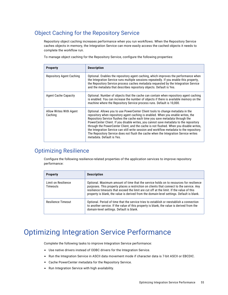### <span id="page-54-0"></span>Object Caching for the Repository Service

Repository object caching increases performance when you run workflows. When the Repository Service caches objects in memory, the Integration Service can more easily access the cached objects it needs to complete the workflow run.

To manage object caching for the Repository Service, configure the following properties:

| <b>Property</b>                    | <b>Description</b>                                                                                                                                                                                                                                                                                                                                                                                                                                                                                                                                                                                                                                    |
|------------------------------------|-------------------------------------------------------------------------------------------------------------------------------------------------------------------------------------------------------------------------------------------------------------------------------------------------------------------------------------------------------------------------------------------------------------------------------------------------------------------------------------------------------------------------------------------------------------------------------------------------------------------------------------------------------|
| Repository Agent Caching           | Optional. Enables the repository agent caching, which improves the performance when<br>the Integration Service runs multiple sessions repeatedly. If you enable this property,<br>the Repository Service process caches metadata requested by the Integration Service<br>and the metadata that describes repository objects. Default is Yes.                                                                                                                                                                                                                                                                                                          |
| Agent Cache Capacity               | Optional. Number of objects that the cache can contain when repository agent caching<br>is enabled. You can increase the number of objects if there is available memory on the<br>machine where the Repository Service process runs. Default is 10,000.                                                                                                                                                                                                                                                                                                                                                                                               |
| Allow Writes With Agent<br>Caching | Optional. Allows you to use PowerCenter Client tools to change metadata in the<br>repository when repository agent caching is enabled. When you enable writes, the<br>Repository Service flushes the cache each time you save metadata through the<br>PowerCenter Client. If you disable writes, you cannot save metadata to the repository<br>through the PowerCenter Client, and the cache is not flushed. When you disable writes,<br>the Integration Service can still write session and workflow metadata to the repository.<br>The Repository Service does not flush the cache when the Integration Service writes<br>metadata. Default is Yes. |

#### Optimizing Resilience

Configure the following resilience-related properties of the application services to improve repository performance:

| <b>Property</b>                        | <b>Description</b>                                                                                                                                                                                                                                                                                                                                                          |
|----------------------------------------|-----------------------------------------------------------------------------------------------------------------------------------------------------------------------------------------------------------------------------------------------------------------------------------------------------------------------------------------------------------------------------|
| Limit on Resilience<br><b>Timeouts</b> | Optional. Maximum amount of time that the service holds on to resources for resilience<br>purposes. This property places a restriction on clients that connect to the service. Any<br>resilience timeouts that exceed the limit are cut off at the limit. If the value of this<br>property is blank, the value is derived from the domain-level settings. Default is blank. |
| <b>Resilience Timeout</b>              | Optional. Period of time that the service tries to establish or reestablish a connection<br>to another service. If the value of this property is blank, the value is derived from the<br>domain-level settings. Default is blank.                                                                                                                                           |

# Optimizing Integration Service Performance

Complete the following tasks to improve Integration Service performance:

- **•** Use native drivers instead of ODBC drivers for the Integration Service.
- **•** Run the Integration Service in ASCII data movement mode if character data is 7-bit ASCII or EBCDIC.
- **•** Cache PowerCenter metadata for the Repository Service.
- **•** Run Integration Service with high availability.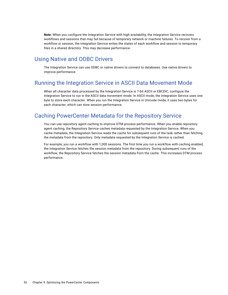<span id="page-55-0"></span>**Note:** When you configure the Integration Service with high availability, the Integration Service recovers workflows and sessions that may fail because of temporary network or machine failures. To recover from a workflow or session, the Integration Service writes the states of each workflow and session to temporary files in a shared directory. This may decrease performance.

#### Using Native and ODBC Drivers

The Integration Service can use ODBC or native drivers to connect to databases. Use native drivers to improve performance.

#### Running the Integration Service in ASCII Data Movement Mode

When all character data processed by the Integration Service is 7-bit ASCII or EBCDIC, configure the Integration Service to run in the ASCII data movement mode. In ASCII mode, the Integration Service uses one byte to store each character. When you run the Integration Service in Unicode mode, it uses two bytes for each character, which can slow session performance.

#### Caching PowerCenter Metadata for the Repository Service

You can use repository agent caching to improve DTM process performance. When you enable repository agent caching, the Repository Service caches metadata requested by the Integration Service. When you cache metadata, the Integration Service reads the cache for subsequent runs of the task rather than fetching the metadata from the repository. Only metadata requested by the Integration Service is cached.

For example, you run a workflow with 1,000 sessions. The first time you run a workflow with caching enabled, the Integration Service fetches the session metadata from the repository. During subsequent runs of the workflow, the Repository Service fetches the session metadata from the cache. This increases DTM process performance.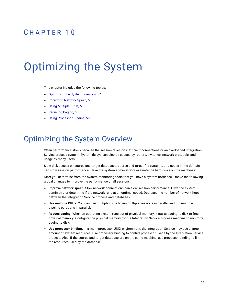## <span id="page-56-0"></span> $CHAPTER$  10

# Optimizing the System

This chapter includes the following topics:

- **•** Optimizing the System Overview, 57
- **•** [Improving](#page-57-0) Network Speed, 58
- **•** Using [Multiple](#page-57-0) CPUs, 58
- **•** [Reducing](#page-57-0) Paging, 58
- **•** Using [Processor](#page-57-0) Binding, 58

## Optimizing the System Overview

Often performance slows because the session relies on inefficient connections or an overloaded Integration Service process system. System delays can also be caused by routers, switches, network protocols, and usage by many users.

Slow disk access on source and target databases, source and target file systems, and nodes in the domain can slow session performance. Have the system administrator evaluate the hard disks on the machines.

After you determine from the system monitoring tools that you have a system bottleneck, make the following global changes to improve the performance of all sessions:

- **• Improve network speed.** Slow network connections can slow session performance. Have the system administrator determine if the network runs at an optimal speed. Decrease the number of network hops between the Integration Service process and databases.
- **• Use multiple CPUs.** You can use multiple CPUs to run multiple sessions in parallel and run multiple pipeline partitions in parallel.
- **• Reduce paging.** When an operating system runs out of physical memory, it starts paging to disk to free physical memory. Configure the physical memory for the Integration Service process machine to minimize paging to disk.
- **• Use processor binding.** In a multi-processor UNIX environment, the Integration Service may use a large amount of system resources. Use processor binding to control processor usage by the Integration Service process. Also, if the source and target database are on the same machine, use processor binding to limit the resources used by the database.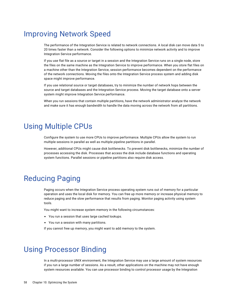## <span id="page-57-0"></span>Improving Network Speed

The performance of the Integration Service is related to network connections. A local disk can move data 5 to 20 times faster than a network. Consider the following options to minimize network activity and to improve Integration Service performance.

If you use flat file as a source or target in a session and the Integration Service runs on a single node, store the files on the same machine as the Integration Service to improve performance. When you store flat files on a machine other than the Integration Service, session performance becomes dependent on the performance of the network connections. Moving the files onto the Integration Service process system and adding disk space might improve performance.

If you use relational source or target databases, try to minimize the number of network hops between the source and target databases and the Integration Service process. Moving the target database onto a server system might improve Integration Service performance.

When you run sessions that contain multiple partitions, have the network administrator analyze the network and make sure it has enough bandwidth to handle the data moving across the network from all partitions.

## Using Multiple CPUs

Configure the system to use more CPUs to improve performance. Multiple CPUs allow the system to run multiple sessions in parallel as well as multiple pipeline partitions in parallel.

However, additional CPUs might cause disk bottlenecks. To prevent disk bottlenecks, minimize the number of processes accessing the disk. Processes that access the disk include database functions and operating system functions. Parallel sessions or pipeline partitions also require disk access.

## Reducing Paging

Paging occurs when the Integration Service process operating system runs out of memory for a particular operation and uses the local disk for memory. You can free up more memory or increase physical memory to reduce paging and the slow performance that results from paging. Monitor paging activity using system tools.

You might want to increase system memory in the following circumstances:

- **•** You run a session that uses large cached lookups.
- **•** You run a session with many partitions.

If you cannot free up memory, you might want to add memory to the system.

## Using Processor Binding

In a multi-processor UNIX environment, the Integration Service may use a large amount of system resources if you run a large number of sessions. As a result, other applications on the machine may not have enough system resources available. You can use processor binding to control processor usage by the Integration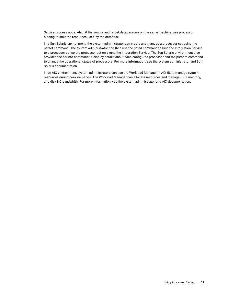Service process node. Also, if the source and target database are on the same machine, use processor binding to limit the resources used by the database.

In a Sun Solaris environment, the system administrator can create and manage a processor set using the psrset command. The system administrator can then use the pbind command to bind the Integration Service to a processor set so the processor set only runs the Integration Service. The Sun Solaris environment also provides the psrinfo command to display details about each configured processor and the psradm command to change the operational status of processors. For more information, see the system administrator and Sun Solaris documentation.

In an AIX environment, system administrators can use the Workload Manager in AIX 5L to manage system resources during peak demands. The Workload Manager can allocate resources and manage CPU, memory, and disk I/O bandwidth. For more information, see the system administrator and AIX documentation.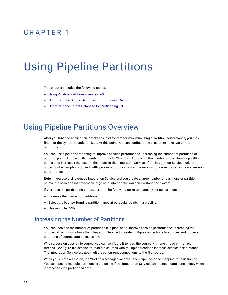## <span id="page-59-0"></span> $CHAPTER$  11

# Using Pipeline Partitions

This chapter includes the following topics:

- **•** Using Pipeline Partitions Overview, 60
- **•** Optimizing the Source Database for [Partitioning,](#page-61-0) 62
- **•** Optimizing the Target Database for [Partitioning,](#page-62-0) 63

## Using Pipeline Partitions Overview

After you tune the application, databases, and system for maximum single-partition performance, you may find that the system is under-utilized. At this point, you can configure the session to have two or more partitions.

You can use pipeline partitioning to improve session performance. Increasing the number of partitions or partition points increases the number of threads. Therefore, increasing the number of partitions or partition points also increases the load on the nodes in the Integration Service. If the Integration Service node or nodes contain ample CPU bandwidth, processing rows of data in a session concurrently can increase session performance.

**Note:** If you use a single-node Integration Service and you create a large number of partitions or partition points in a session that processes large amounts of data, you can overload the system.

If you have the partitioning option, perform the following tasks to manually set up partitions:

- **•** Increase the number of partitions.
- **•** Select the best performing partition types at particular points in a pipeline.
- **•** Use multiple CPUs.

#### Increasing the Number of Partitions

You can increase the number of partitions in a pipeline to improve session performance. Increasing the number of partitions allows the Integration Service to create multiple connections to sources and process partitions of source data concurrently.

When a session uses a file source, you can configure it to read the source with one thread or multiple threads. Configure the session to read file sources with multiple threads to increase session performance. The Integration Service creates multiple concurrent connections to the file source.

When you create a session, the Workflow Manager validates each pipeline in the mapping for partitioning. You can specify multiple partitions in a pipeline if the Integration Service can maintain data consistency when it processes the partitioned data.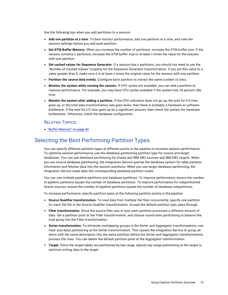<span id="page-60-0"></span>Use the following tips when you add partitions to a session:

- **• Add one partition at a time.** To best monitor performance, add one partition at a time, and note the session settings before you add each partition.
- **• Set DTM Buffer Memory.** When you increase the number of partitions, increase the DTM buffer size. If the session contains *n* partitions, increase the DTM buffer size to at least n times the value for the session with one partition.
- **• Set cached values for Sequence Generator.** If a session has *n* partitions, you should not need to use the "Number of Cached Values" property for the Sequence Generator transformation. If you set this value to a value greater than 0, make sure it is at least *n* times the original value for the session with one partition.
- **• Partition the source data evenly.** Configure each partition to extract the same number of rows.
- **• Monitor the system while running the session.** If CPU cycles are available, you can add a partition to improve performance. For example, you may have CPU cycles available if the system has 20 percent idle time.
- **• Monitor the system after adding a partition.** If the CPU utilization does not go up, the wait for I/O time goes up, or the total data transformation rate goes down, then there is probably a hardware or software bottleneck. If the wait for I/O time goes up by a significant amount, then check the system for hardware bottlenecks. Otherwise, check the database configuration.

#### RELATED TOPICS:

**•** "Buffer [Memory"](#page-41-0) on page 42

#### Selecting the Best Performing Partition Types

You can specify different partition types at different points in the pipeline to increase session performance. To optimize session performance, use the database partitioning partition type for source and target databases. You can use database partitioning for Oracle and IBM DB2 sources and IBM DB2 targets. When you use source database partitioning, the Integration Service queries the database system for table partition information and fetches data into the session partitions. When you use target database partitioning, the Integration Service loads data into corresponding database partition nodes.

You can use multiple pipeline partitions and database partitions. To improve performance, ensure the number of pipeline partitions equals the number of database partitions. To improve performance for subpartitioned Oracle sources, ensure the number of pipeline partitions equals the number of database subpartitions.

To increase performance, specify partition types at the following partition points in the pipeline:

- **• Source Qualifier transformation.** To read data from multiple flat files concurrently, specify one partition for each flat file in the Source Qualifier transformation. Accept the default partition type, pass-through.
- **• Filter transformation.** Since the source files vary in size, each partition processes a different amount of data. Set a partition point at the Filter transformation, and choose round-robin partitioning to balance the load going into the Filter transformation.
- **• Sorter transformation.** To eliminate overlapping groups in the Sorter and Aggregator transformations, use hash auto-keys partitioning at the Sorter transformation. This causes the Integration Service to group all items with the same description into the same partition before the Sorter and Aggregator transformations process the rows. You can delete the default partition point at the Aggregator transformation.
- **• Target.** Since the target tables are partitioned by key range, specify key range partitioning at the target to optimize writing data to the target.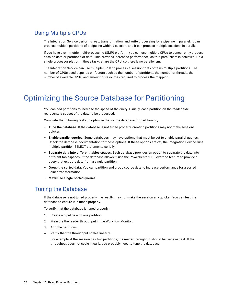#### <span id="page-61-0"></span>Using Multiple CPUs

The Integration Service performs read, transformation, and write processing for a pipeline in parallel. It can process multiple partitions of a pipeline within a session, and it can process multiple sessions in parallel.

If you have a symmetric multi-processing (SMP) platform, you can use multiple CPUs to concurrently process session data or partitions of data. This provides increased performance, as true parallelism is achieved. On a single processor platform, these tasks share the CPU, so there is no parallelism.

The Integration Service can use multiple CPUs to process a session that contains multiple partitions. The number of CPUs used depends on factors such as the number of partitions, the number of threads, the number of available CPUs, and amount or resources required to process the mapping.

## Optimizing the Source Database for Partitioning

You can add partitions to increase the speed of the query. Usually, each partition on the reader side represents a subset of the data to be processed.

Complete the following tasks to optimize the source database for partitioning,

- **• Tune the database.** If the database is not tuned properly, creating partitions may not make sessions quicker.
- **• Enable parallel queries.** Some databases may have options that must be set to enable parallel queries. Check the database documentation for these options. If these options are off, the Integration Service runs multiple partition SELECT statements serially.
- **• Separate data into different tables spaces.** Each database provides an option to separate the data into different tablespaces. If the database allows it, use the PowerCenter SQL override feature to provide a query that extracts data from a single partition.
- **• Group the sorted data.** You can partition and group source data to increase performance for a sorted Joiner transformation.
- **• Maximize single-sorted queries.**

#### Tuning the Database

If the database is not tuned properly, the results may not make the session any quicker. You can test the database to ensure it is tuned properly.

To verify that the database is tuned properly:

- 1. Create a pipeline with one partition.
- 2. Measure the reader throughput in the Workflow Monitor.
- 3. Add the partitions.
- 4. Verify that the throughput scales linearly.

For example, if the session has two partitions, the reader throughput should be twice as fast. If the throughput does not scale linearly, you probably need to tune the database.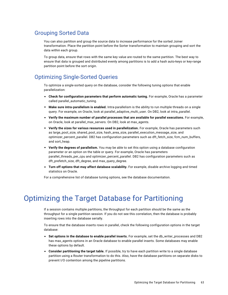#### <span id="page-62-0"></span>Grouping Sorted Data

You can also partition and group the source data to increase performance for the sorted Joiner transformation. Place the partition point before the Sorter transformation to maintain grouping and sort the data within each group.

To group data, ensure that rows with the same key value are routed to the same partition. The best way to ensure that data is grouped and distributed evenly among partitions is to add a hash auto-keys or key-range partition point before the sort origin.

### Optimizing Single-Sorted Queries

To optimize a single-sorted query on the database, consider the following tuning options that enable parallelization:

- **• Check for configuration parameters that perform automatic tuning.** For example, Oracle has a parameter called parallel\_automatic\_tuning.
- **• Make sure intra-parallelism is enabled.** Intra-parallelism is the ability to run multiple threads on a single query. For example, on Oracle, look at parallel\_adaptive\_multi\_user. On DB2, look at intra\_parallel.
- **• Verify the maximum number of parallel processes that are available for parallel executions.** For example, on Oracle, look at parallel\_max\_servers. On DB2, look at max\_agents.
- **• Verify the sizes for various resources used in parallelization.** For example, Oracle has parameters such as large\_pool\_size, shared\_pool\_size, hash\_area\_size, parallel\_execution\_message\_size, and optimizer\_percent\_parallel. DB2 has configuration parameters such as dft\_fetch\_size, fcm\_num\_buffers, and sort\_heap.
- **• Verify the degrees of parallelism.** You may be able to set this option using a database configuration parameter or an option on the table or query. For example, Oracle has parameters parallel\_threads\_per\_cpu and optimizer\_percent\_parallel. DB2 has configuration parameters such as dft\_prefetch\_size, dft\_degree, and max\_query\_degree.
- **• Turn off options that may affect database scalability.** For example, disable archive logging and timed statistics on Oracle.

For a comprehensive list of database tuning options, see the database documentation.

## Optimizing the Target Database for Partitioning

If a session contains multiple partitions, the throughput for each partition should be the same as the throughput for a single partition session. If you do not see this correlation, then the database is probably inserting rows into the database serially.

To ensure that the database inserts rows in parallel, check the following configuration options in the target database:

- **• Set options in the database to enable parallel inserts.** For example, set the db\_writer\_processes and DB2 has max\_agents options in an Oracle database to enable parallel inserts. Some databases may enable these options by default.
- **• Consider partitioning the target table.** If possible, try to have each partition write to a single database partition using a Router transformation to do this. Also, have the database partitions on separate disks to prevent I/O contention among the pipeline partitions.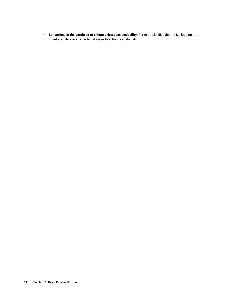**• Set options in the database to enhance database scalability.** For example, disable archive logging and timed statistics in an Oracle database to enhance scalability.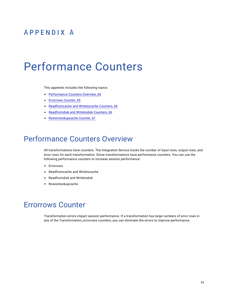## <span id="page-64-0"></span>APPENDIX A

# Performance Counters

This appendix includes the following topics:

- **•** Performance Counters Overview, 65
- **•** Errorrows Counter, 65
- **•** [Readfromcache](#page-65-0) and Writetocache Counters, 66
- **•** [Readfromdisk](#page-65-0) and Writetodisk Counters, 66
- **•** [Rowsinlookupcache](#page-66-0) Counter, 67

## Performance Counters Overview

All transformations have counters. The Integration Service tracks the number of input rows, output rows, and error rows for each transformation. Some transformations have performance counters. You can use the following performance counters to increase session performance:

- **•** Errorrows
- **•** Readfromcache and Writetocache
- **•** Readfromdisk and Writetodisk
- **•** Rowsinlookupcache

## Errorrows Counter

Transformation errors impact session performance. If a transformation has large numbers of error rows in any of the *Transformation*\_errorrows counters, you can eliminate the errors to improve performance.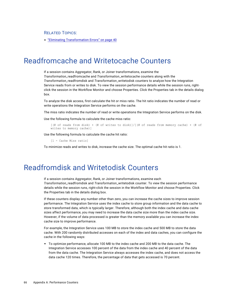#### <span id="page-65-0"></span>RELATED TOPICS:

**•** "Eliminating [Transformation](#page-39-0) Errors" on page 40

## Readfromcache and Writetocache Counters

If a session contains Aggregator, Rank, or Joiner transformations, examine the *Transformation\_*readfromcache and *Transformation*\_writetocache counters along with the *Transformation\_*readfromdisk and *Transformation*\_writetodisk counters to analyze how the Integration Service reads from or writes to disk. To view the session performance details while the session runs, rightclick the session in the Workflow Monitor and choose Properties. Click the Properties tab in the details dialog box.

To analyze the disk access, first calculate the hit or miss ratio. The hit ratio indicates the number of read or write operations the Integration Service performs on the cache.

The miss ratio indicates the number of read or write operations the Integration Service performs on the disk.

Use the following formula to calculate the cache miss ratio:

```
[(# of reads from disk) + (# of writes to disk)]/[(# of reads from memory cache) + (# of
writes to memory cache)]
```
Use the following formula to calculate the cache hit ratio:

[1 - Cache Miss ratio]

To minimize reads and writes to disk, increase the cache size. The optimal cache hit ratio is 1.

## Readfromdisk and Writetodisk Counters

If a session contains Aggregator, Rank, or Joiner transformations, examine each *Transformation\_*readfromdisk and *Transformation*\_writetodisk counter. To view the session performance details while the session runs, right-click the session in the Workflow Monitor and choose Properties. Click the Properties tab in the details dialog box.

If these counters display any number other than zero, you can increase the cache sizes to improve session performance. The Integration Service uses the index cache to store group information and the data cache to store transformed data, which is typically larger. Therefore, although both the index cache and data cache sizes affect performance, you may need to increase the data cache size more than the index cache size. However, if the volume of data processed is greater than the memory available you can increase the index cache size to improve performance.

For example, the Integration Service uses 100 MB to store the index cache and 500 MB to store the data cache. With 200 randomly distributed accesses on each of the index and data caches, you can configure the cache in the following ways:

**•** To optimize performance, allocate 100 MB to the index cache and 200 MB to the data cache. The Integration Service accesses 100 percent of the data from the index cache and 40 percent of the data from the data cache. The Integration Service always accesses the index cache, and does not access the data cache 120 times. Therefore, the percentage of data that gets accessed is 70 percent.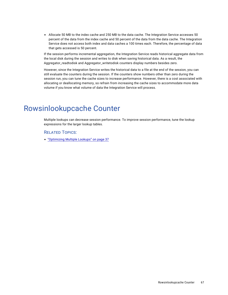<span id="page-66-0"></span>**•** Allocate 50 MB to the index cache and 250 MB to the data cache. The Integration Service accesses 50 percent of the data from the index cache and 50 percent of the data from the data cache. The Integration Service does not access both index and data caches a 100 times each. Therefore, the percentage of data that gets accessed is 50 percent.

If the session performs incremental aggregation, the Integration Service reads historical aggregate data from the local disk during the session and writes to disk when saving historical data. As a result, the Aggregator\_readtodisk and Aggregator\_writetodisk counters display numbers besides zero.

However, since the Integration Service writes the historical data to a file at the end of the session, you can still evaluate the counters during the session. If the counters show numbers other than zero during the session run, you can tune the cache sizes to increase performance. However, there is a cost associated with allocating or deallocating memory, so refrain from increasing the cache sizes to accommodate more data volume if you know what volume of data the Integration Service will process.

## Rowsinlookupcache Counter

Multiple lookups can decrease session performance. To improve session performance, tune the lookup expressions for the larger lookup tables.

#### RELATED TOPICS:

**•** ["Optimizing](#page-36-0) Multiple Lookups" on page 37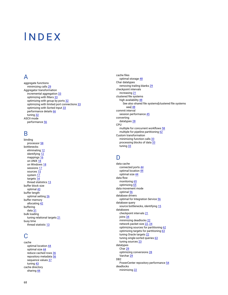# INDEX

#### A

aggregate functions minimizing calls [29](#page-28-0) Aggregator transformation incremental aggregation [33](#page-32-0) optimizing with filters [33](#page-32-0) optimizing with group by ports  $32$ optimizing with limited port connections [33](#page-32-0) optimizing with Sorted Input [33](#page-32-0) performance details [66](#page-65-0) tuning [32](#page-31-0) ASCII mode performance [56](#page-55-0)

#### B

binding processor [58](#page-57-0) bottlenecks eliminating [12](#page-11-0) identifying [12](#page-11-0) mappings [16](#page-15-0) on UNIX [18](#page-17-0) on Windows [18](#page-17-0) sessions [17](#page-16-0) sources [15](#page-14-0) system [17](#page-16-0) targets [14](#page-13-0) thread statistics [13](#page-12-0) buffer block size optimal [43](#page-42-0) buffer length optimal setting [26](#page-25-0) buffer memory allocating [42](#page-41-0) buffering data [31](#page-30-0) bulk loading tuning relational targets [21](#page-20-0) busy time thread statistic [13](#page-12-0)

## C

cache optimal location [44](#page-43-0) optimal size [44](#page-43-0) reduce cached rows [36](#page-35-0) repository metadata [56](#page-55-0) sequence values [37](#page-36-0) tuning [43](#page-42-0) cache directory sharing [44](#page-43-0)

cache files optimal storage [48](#page-47-0) Char datatypes removing trailing blanks [29](#page-28-0) checkpoint intervals increasing [21](#page-20-0) clustered file systems high availability [48](#page-47-0) See also shared file systems[clustered file systems aaa] [48](#page-47-0) commit interval session performance [45](#page-44-0) converting datatypes [28](#page-27-0) CPU multiple for concurrent workflows [58](#page-57-0) multiple for pipeline partitioning [62](#page-61-0) Custom transformation minimizing function calls [33](#page-32-0) processing blocks of data [33](#page-32-0) tuning [33](#page-32-0)

## D

data cache connected ports [44](#page-43-0) optimal location [44](#page-43-0) optimal size [44](#page-43-0) data flow monitoring [65](#page-64-0) optimizing [65](#page-64-0) data movement mode optimal [56](#page-55-0) database drivers optimal for Integration Service [56](#page-55-0) database query source bottlenecks, identifying [15](#page-14-0) databases checkpoint intervals [21](#page-20-0) joins [34](#page-33-0) minimizing deadlocks [22](#page-21-0) network packet size [22](#page-21-0), [24](#page-23-0) optimizing sources for partitioning [62](#page-61-0) optimizing targets for partitioning [63](#page-62-0) tuning Oracle targets [22](#page-21-0) tuning single-sorted queries [63](#page-62-0) tuning sources [23](#page-22-0) datatypes Char [29](#page-28-0) optimizing conversions [28](#page-27-0) Varchar [29](#page-28-0) D<sub>B2</sub> PowerCenter repository performance [54](#page-53-0) deadlocks minimizing [22](#page-21-0)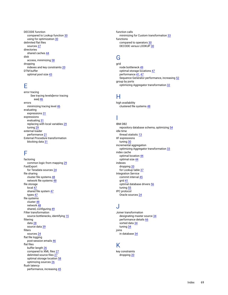DECODE function compared to Lookup function [30](#page-29-0) using for optimization [30](#page-29-0) delimited flat files sources [27](#page-26-0) directories shared caches [44](#page-43-0) disk access, minimizing [58](#page-57-0) dropping indexes and key constraints [20](#page-19-0) DTM buffer optimal pool size [43](#page-42-0)

## E

error tracing See tracing levels[error tracing aaa] [46](#page-45-0) errors minimizing tracing level [46](#page-45-0) evaluating expressions [31](#page-30-0) expressions evaluating [31](#page-30-0) replacing with local variables [29](#page-28-0) tuning [29](#page-28-0) external loader performance [21](#page-20-0) External Procedure transformation blocking data [31](#page-30-0)

## F

factoring common logic from mapping [29](#page-28-0) FastExport for Teradata sources [24](#page-23-0) file sharing cluster file systems [48](#page-47-0) network file systems [48](#page-47-0) file storage local [47](#page-46-0) shared file system [47](#page-46-0) types  $47$ file systems cluster [48](#page-47-0) network [48](#page-47-0) shared, configuring [49](#page-48-0) Filter transformation source bottlenecks, identifying [15](#page-14-0) filtering data [28](#page-27-0) source data [39](#page-38-0) filters sources [24](#page-23-0) flat file logging post-session emails [46](#page-45-0) flat files buffer length [26](#page-25-0) compared to XML files [27](#page-26-0) delimited source files [27](#page-26-0) optimal storage location [58](#page-57-0) optimizing sources [26](#page-25-0) flush latency performance, increasing [45](#page-44-0)

function calls minimizing for Custom transformation [33](#page-32-0) functions compared to operators [30](#page-29-0) DECODE versus LOOKUP [30](#page-29-0)

## G

grid node bottleneck [49](#page-48-0) optimal storage locations [47](#page-46-0) performance [41](#page-40-0), [47](#page-46-0) Sequence Generator performance, increasing [52](#page-51-0) group by ports optimizing Aggregator transformation [32](#page-31-0)

## H

high availability clustered file systems [48](#page-47-0)

## I

IBM DB2 repository database schema, optimizing [54](#page-53-0) idle time thread statistic [13](#page-12-0) IIF expressions tuning [30](#page-29-0) incremental aggregation optimizing Aggregator transformation [33](#page-32-0) index cache optimal location [44](#page-43-0) optimal size [44](#page-43-0) indexes dropping [20](#page-19-0) for Lookup table [37](#page-36-0) Integration Service commit interval [45](#page-44-0) grid [41](#page-40-0) optimal database drivers [56](#page-55-0) tuning [55](#page-54-0) IPC protocol Oracle sources [24](#page-23-0)

### J

Joiner transformation designating master source [34](#page-33-0) performance details [66](#page-65-0) sorted data [34](#page-33-0) tuning [34](#page-33-0) joins in database [34](#page-33-0)

#### K

key constraints dropping [20](#page-19-0)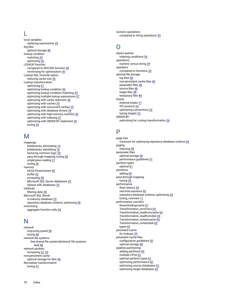## L

local variables replacing expressions [29](#page-28-0) log files optimal storage  $48$ lookup condition matching [35](#page-34-0) optimizing [36](#page-35-0) LOOKUP function compared to DECODE function [30](#page-29-0) minimizing for optimization [30](#page-29-0) Lookup SQL Override option reducing cache size [36](#page-35-0) Lookup transformation optimizing [67](#page-66-0) optimizing lookup condition [36](#page-35-0) optimizing lookup condition matching [35](#page-34-0) optimizing multiple lookup expressions [37](#page-36-0) optimizing with cache reduction [36](#page-35-0) optimizing with caches [35](#page-34-0) optimizing with concurrent caches [35](#page-34-0) optimizing with database drivers [34](#page-33-0) optimizing with high-memory machine [36](#page-35-0) optimizing with indexing [37](#page-36-0) optimizing with ORDER BY statement [36](#page-35-0) tuning [34](#page-33-0)

## NЛ

mappings bottlenecks, eliminating [16](#page-15-0) bottlenecks, identifying [16](#page-15-0) factoring common logic [29](#page-28-0) pass-through mapping, tuning [28](#page-27-0) single-pass reading [27](#page-26-0) tuning [26](#page-25-0) memory 64-bit PowerCenter [45](#page-44-0) buffer [42](#page-41-0) increasing [58](#page-57-0) Microsoft SQL Server databases [25](#page-24-0) Sybase ASE databases [25](#page-24-0) methods filtering data [28](#page-27-0) Microsoft SQL Server in-memory database [25](#page-24-0) repository database schema, optimizing [54](#page-53-0) minimizing aggregate function calls [29](#page-28-0)

#### N

network improving speed [58](#page-57-0) tuning [58](#page-57-0) network file systems See shared file systems[network file systems aaa] [48](#page-47-0) network packets increasing [22,](#page-21-0) [24](#page-23-0) non-persistent cache optimal storage for files [48](#page-47-0) Normalizer transformation tuning [37](#page-36-0)

numeric operations compared to string operations [29](#page-28-0)

### $\cap$

object queries ordering conditions [54](#page-53-0) operations numeric versus string [29](#page-28-0) operators compared to functions [30](#page-29-0) optimal file storage log files [48](#page-47-0) non-persistent cache files [48](#page-47-0) parameter files [48](#page-47-0) source files [48](#page-47-0) target files [48](#page-47-0) temporary files [48](#page-47-0) **Oracle** external loader [21](#page-20-0) IPC protocol [24](#page-23-0) optimizing connections [24](#page-23-0) tuning targets [22](#page-21-0) ORDER BY optimizing for Lookup transformation [36](#page-35-0)

## P

page size minimum for optimizing repository database schema [54](#page-53-0) paging reducing [58](#page-57-0) parameter files optimal storage [48](#page-47-0) performance guidelines [51](#page-50-0) partition types optimal [61](#page-60-0) partitions adding [60](#page-59-0) pass-through mapping tuning [28](#page-27-0) performance flush latency [45](#page-44-0) real-time sessions [45](#page-44-0) repository database schema, optimizing [54](#page-53-0) tuning, overview [11](#page-10-0) performance counters Rowsinlookupcache [67](#page-66-0) Transformation\_errorrows [65](#page-64-0) Transformation\_readfromcache [66](#page-65-0) Transformation\_readfromdisk [66](#page-65-0) Transformation\_writetocache [66](#page-65-0) Transformation\_writetodisk [66](#page-65-0) types [65](#page-64-0) persistent cache for lookups [35](#page-34-0) persistent cache files configuration guidelines [50](#page-49-0) optimal storage [48](#page-47-0) pipeline partitioning adding partitions [60](#page-59-0) multiple CPUs [62](#page-61-0) optimal partition types [61](#page-60-0) optimizing performance [60](#page-59-0) optimizing source databases [62](#page-61-0) optimizing target databases [63](#page-62-0)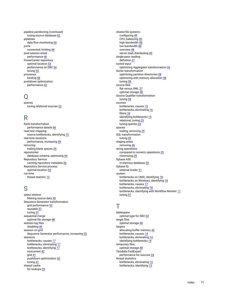pipeline partitioning *(continued)* tuning source database [62](#page-61-0) pipelines data flow monitoring [65](#page-64-0) ports connected, limiting [44](#page-43-0) post-session email performance [46](#page-45-0) PowerCenter repository optimal location [53](#page-52-0) performance on DB2 [54](#page-53-0) tuning [53](#page-52-0) processor binding [58](#page-57-0) pushdown optimization performance [42](#page-41-0)

### Q

queries tuning relational sources [23](#page-22-0)

## R

Rank transformation performance details [66](#page-65-0) read test mapping source bottlenecks, identifying [15](#page-14-0) real-time sessions performance, increasing [45](#page-44-0) removing trailing blank spaces [29](#page-28-0) repositories database schema, optimizing [54](#page-53-0) Repository Service caching repository metadata [56](#page-55-0) Repository Service process optimal location [53](#page-52-0) run time thread statistic [13](#page-12-0)

### S

select distinct filtering source data [39](#page-38-0) Sequence Generator transformation grid performance [52](#page-51-0) reusable [37](#page-36-0) tuning [37](#page-36-0) sequential merge optimal file storage  $\frac{48}{3}$  $\frac{48}{3}$  $\frac{48}{3}$ session log files disabling [46](#page-45-0) session on grid Sequence Generator performance, increasing [52](#page-51-0) sessions bottlenecks, causes [17](#page-16-0) bottlenecks, eliminating [17](#page-16-0) bottlenecks, identifying [17](#page-16-0) concurrent [42](#page-41-0) grid [41](#page-40-0) pushdown optimization [42](#page-41-0) tuning [41](#page-40-0) shared cache for lookups [35](#page-34-0)

shared file systems configuring [49](#page-48-0) CPU, balancing [49](#page-48-0) high bandwidth [48](#page-47-0) low bandwidth [48](#page-47-0) overview [48](#page-47-0) server load, distributing [49](#page-48-0) single-pass reading definition [27](#page-26-0) sorted input optimizing Aggregator transformation [33](#page-32-0) Sorter transformation optimizing partition directories [38](#page-37-0) optimizing with memory allocation [38](#page-37-0) tuning [38](#page-37-0) source files flat versus XML [27](#page-26-0) optimal storage [48](#page-47-0) Source Qualifier transformation tuning [39](#page-38-0) sources bottlenecks, causes [15](#page-14-0) bottlenecks, eliminating [16](#page-15-0) filters [24](#page-23-0) identifying bottlenecks [15](#page-14-0) relational, tuning [23](#page-22-0) tuning queries [23](#page-22-0) spaces trailing, removing [29](#page-28-0) SQL transformation tuning [39](#page-38-0) staging areas removing [46](#page-45-0) string operations compared to numeric operations [29](#page-28-0) minimizing [29](#page-28-0) Sybase ASE in-memory database [25](#page-24-0) Sybase IQ external loader [21](#page-20-0) system bottlenecks on UNIX, identifying [18](#page-17-0) bottlenecks on Windows, identifying [18](#page-17-0) bottlenecks, causes [17](#page-16-0) bottlenecks, eliminating [18](#page-17-0) bottlenecks, identifying with Workflow Monitor [17](#page-16-0) tuning [57](#page-56-0)

## T

tablespace optimal type for DB2 [54](#page-53-0) target files optimal storage [48](#page-47-0) targets allocating buffer memory [42](#page-41-0) bottlenecks, causes [14](#page-13-0) bottlenecks, eliminating [14](#page-13-0) identifying bottlenecks [14](#page-13-0) temporary files optimal storage [48](#page-47-0) Teradata FastExport performance for sources [24](#page-23-0) thread statistics bottlenecks, eliminating [13](#page-12-0) bottlenecks, identifying [13](#page-12-0)